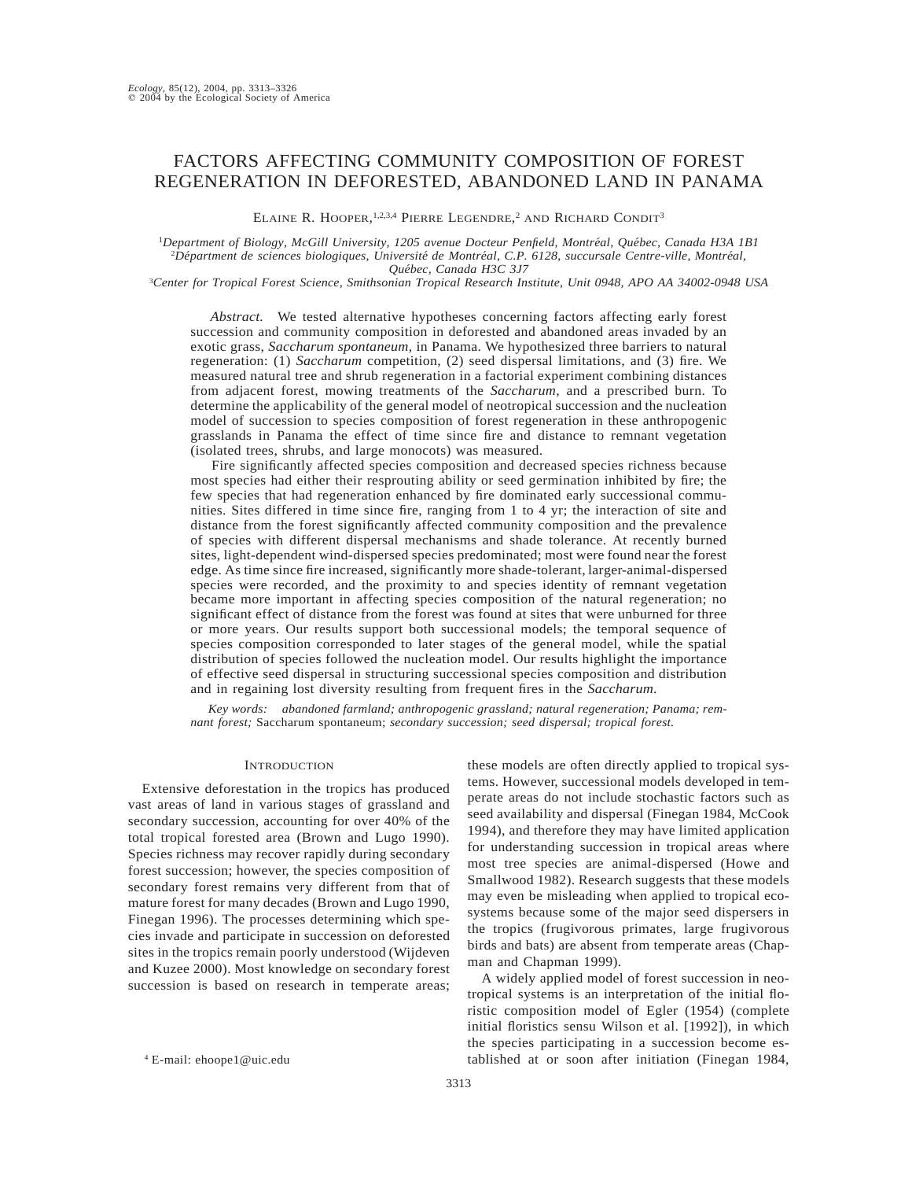### FACTORS AFFECTING COMMUNITY COMPOSITION OF FOREST REGENERATION IN DEFORESTED, ABANDONED LAND IN PANAMA

ELAINE R. HOOPER,<sup>1,2,3,4</sup> PIERRE LEGENDRE,<sup>2</sup> AND RICHARD CONDIT<sup>3</sup>

<sup>1</sup>Department of Biology, McGill University, 1205 avenue Docteur Penfield, Montréal, Québec, Canada H3A 1B1 <sup>2</sup>Départment de sciences biologiques, Université de Montréal, C.P. 6128, succursale Centre-ville, Montréal, *Que´bec, Canada H3C 3J7*

3 *Center for Tropical Forest Science, Smithsonian Tropical Research Institute, Unit 0948, APO AA 34002-0948 USA*

*Abstract.* We tested alternative hypotheses concerning factors affecting early forest succession and community composition in deforested and abandoned areas invaded by an exotic grass, *Saccharum spontaneum*, in Panama. We hypothesized three barriers to natural regeneration: (1) *Saccharum* competition, (2) seed dispersal limitations, and (3) fire. We measured natural tree and shrub regeneration in a factorial experiment combining distances from adjacent forest, mowing treatments of the *Saccharum*, and a prescribed burn. To determine the applicability of the general model of neotropical succession and the nucleation model of succession to species composition of forest regeneration in these anthropogenic grasslands in Panama the effect of time since fire and distance to remnant vegetation (isolated trees, shrubs, and large monocots) was measured.

Fire significantly affected species composition and decreased species richness because most species had either their resprouting ability or seed germination inhibited by fire; the few species that had regeneration enhanced by fire dominated early successional communities. Sites differed in time since fire, ranging from 1 to 4 yr; the interaction of site and distance from the forest significantly affected community composition and the prevalence of species with different dispersal mechanisms and shade tolerance. At recently burned sites, light-dependent wind-dispersed species predominated; most were found near the forest edge. As time since fire increased, significantly more shade-tolerant, larger-animal-dispersed species were recorded, and the proximity to and species identity of remnant vegetation became more important in affecting species composition of the natural regeneration; no significant effect of distance from the forest was found at sites that were unburned for three or more years. Our results support both successional models; the temporal sequence of species composition corresponded to later stages of the general model, while the spatial distribution of species followed the nucleation model. Our results highlight the importance of effective seed dispersal in structuring successional species composition and distribution and in regaining lost diversity resulting from frequent fires in the *Saccharum*.

*Key words: abandoned farmland; anthropogenic grassland; natural regeneration; Panama; remnant forest;* Saccharum spontaneum; *secondary succession; seed dispersal; tropical forest.*

#### **INTRODUCTION**

Extensive deforestation in the tropics has produced vast areas of land in various stages of grassland and secondary succession, accounting for over 40% of the total tropical forested area (Brown and Lugo 1990). Species richness may recover rapidly during secondary forest succession; however, the species composition of secondary forest remains very different from that of mature forest for many decades (Brown and Lugo 1990, Finegan 1996). The processes determining which species invade and participate in succession on deforested sites in the tropics remain poorly understood (Wijdeven and Kuzee 2000). Most knowledge on secondary forest succession is based on research in temperate areas;

these models are often directly applied to tropical systems. However, successional models developed in temperate areas do not include stochastic factors such as seed availability and dispersal (Finegan 1984, McCook 1994), and therefore they may have limited application for understanding succession in tropical areas where most tree species are animal-dispersed (Howe and Smallwood 1982). Research suggests that these models may even be misleading when applied to tropical ecosystems because some of the major seed dispersers in the tropics (frugivorous primates, large frugivorous birds and bats) are absent from temperate areas (Chapman and Chapman 1999).

A widely applied model of forest succession in neotropical systems is an interpretation of the initial floristic composition model of Egler (1954) (complete initial floristics sensu Wilson et al. [1992]), in which the species participating in a succession become established at or soon after initiation (Finegan 1984,

<sup>4</sup> E-mail: ehoope1@uic.edu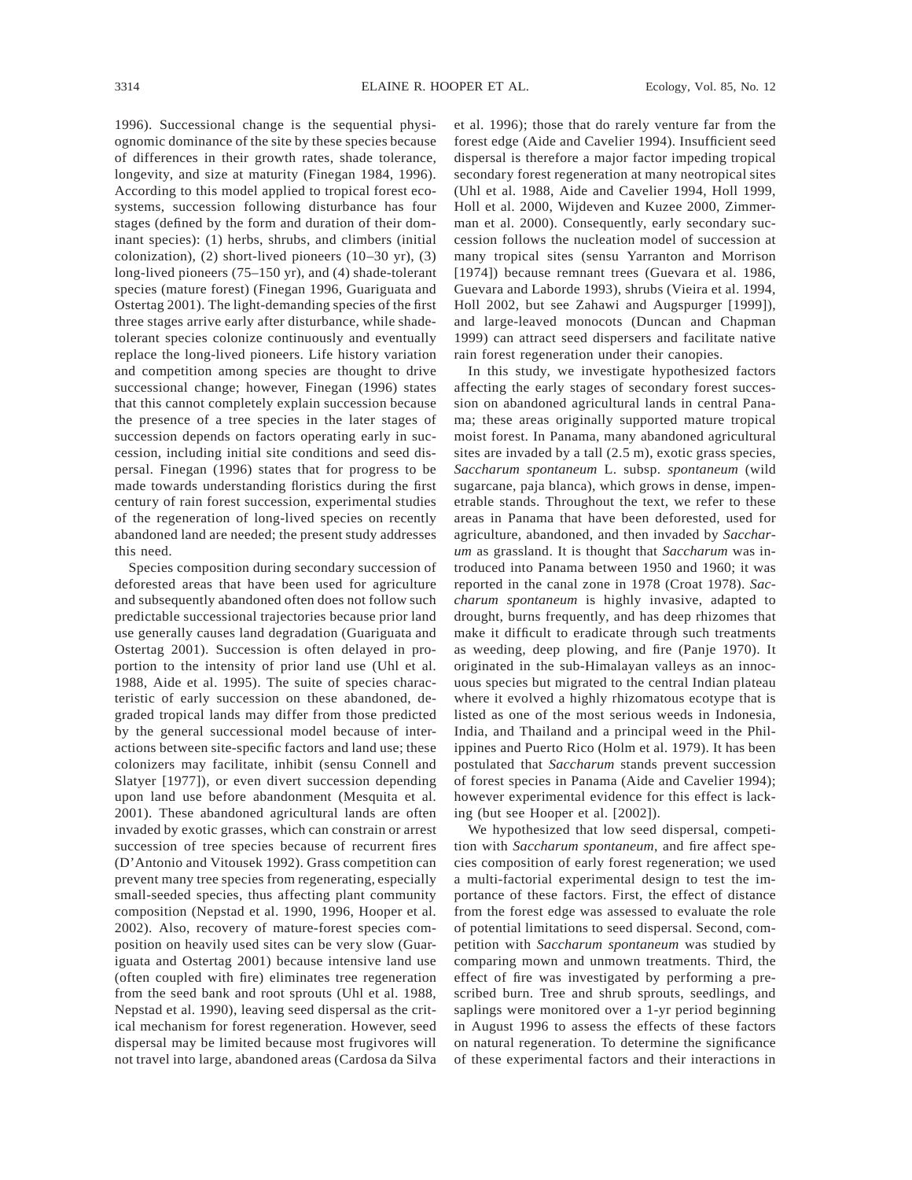1996). Successional change is the sequential physiognomic dominance of the site by these species because of differences in their growth rates, shade tolerance, longevity, and size at maturity (Finegan 1984, 1996). According to this model applied to tropical forest ecosystems, succession following disturbance has four stages (defined by the form and duration of their dominant species): (1) herbs, shrubs, and climbers (initial colonization), (2) short-lived pioneers  $(10-30 \text{ yr})$ ,  $(3)$ long-lived pioneers (75–150 yr), and (4) shade-tolerant species (mature forest) (Finegan 1996, Guariguata and Ostertag 2001). The light-demanding species of the first three stages arrive early after disturbance, while shadetolerant species colonize continuously and eventually replace the long-lived pioneers. Life history variation and competition among species are thought to drive successional change; however, Finegan (1996) states that this cannot completely explain succession because the presence of a tree species in the later stages of succession depends on factors operating early in succession, including initial site conditions and seed dispersal. Finegan (1996) states that for progress to be made towards understanding floristics during the first century of rain forest succession, experimental studies of the regeneration of long-lived species on recently abandoned land are needed; the present study addresses this need.

Species composition during secondary succession of deforested areas that have been used for agriculture and subsequently abandoned often does not follow such predictable successional trajectories because prior land use generally causes land degradation (Guariguata and Ostertag 2001). Succession is often delayed in proportion to the intensity of prior land use (Uhl et al. 1988, Aide et al. 1995). The suite of species characteristic of early succession on these abandoned, degraded tropical lands may differ from those predicted by the general successional model because of interactions between site-specific factors and land use; these colonizers may facilitate, inhibit (sensu Connell and Slatyer [1977]), or even divert succession depending upon land use before abandonment (Mesquita et al. 2001). These abandoned agricultural lands are often invaded by exotic grasses, which can constrain or arrest succession of tree species because of recurrent fires (D'Antonio and Vitousek 1992). Grass competition can prevent many tree species from regenerating, especially small-seeded species, thus affecting plant community composition (Nepstad et al. 1990, 1996, Hooper et al. 2002). Also, recovery of mature-forest species composition on heavily used sites can be very slow (Guariguata and Ostertag 2001) because intensive land use (often coupled with fire) eliminates tree regeneration from the seed bank and root sprouts (Uhl et al. 1988, Nepstad et al. 1990), leaving seed dispersal as the critical mechanism for forest regeneration. However, seed dispersal may be limited because most frugivores will not travel into large, abandoned areas (Cardosa da Silva et al. 1996); those that do rarely venture far from the forest edge (Aide and Cavelier 1994). Insufficient seed dispersal is therefore a major factor impeding tropical secondary forest regeneration at many neotropical sites (Uhl et al. 1988, Aide and Cavelier 1994, Holl 1999, Holl et al. 2000, Wijdeven and Kuzee 2000, Zimmerman et al. 2000). Consequently, early secondary succession follows the nucleation model of succession at many tropical sites (sensu Yarranton and Morrison [1974]) because remnant trees (Guevara et al. 1986, Guevara and Laborde 1993), shrubs (Vieira et al. 1994, Holl 2002, but see Zahawi and Augspurger [1999]), and large-leaved monocots (Duncan and Chapman 1999) can attract seed dispersers and facilitate native rain forest regeneration under their canopies.

In this study, we investigate hypothesized factors affecting the early stages of secondary forest succession on abandoned agricultural lands in central Panama; these areas originally supported mature tropical moist forest. In Panama, many abandoned agricultural sites are invaded by a tall (2.5 m), exotic grass species, *Saccharum spontaneum* L. subsp. *spontaneum* (wild sugarcane, paja blanca), which grows in dense, impenetrable stands. Throughout the text, we refer to these areas in Panama that have been deforested, used for agriculture, abandoned, and then invaded by *Saccharum* as grassland. It is thought that *Saccharum* was introduced into Panama between 1950 and 1960; it was reported in the canal zone in 1978 (Croat 1978). *Saccharum spontaneum* is highly invasive, adapted to drought, burns frequently, and has deep rhizomes that make it difficult to eradicate through such treatments as weeding, deep plowing, and fire (Panje 1970). It originated in the sub-Himalayan valleys as an innocuous species but migrated to the central Indian plateau where it evolved a highly rhizomatous ecotype that is listed as one of the most serious weeds in Indonesia, India, and Thailand and a principal weed in the Philippines and Puerto Rico (Holm et al. 1979). It has been postulated that *Saccharum* stands prevent succession of forest species in Panama (Aide and Cavelier 1994); however experimental evidence for this effect is lacking (but see Hooper et al. [2002]).

We hypothesized that low seed dispersal, competition with *Saccharum spontaneum*, and fire affect species composition of early forest regeneration; we used a multi-factorial experimental design to test the importance of these factors. First, the effect of distance from the forest edge was assessed to evaluate the role of potential limitations to seed dispersal. Second, competition with *Saccharum spontaneum* was studied by comparing mown and unmown treatments. Third, the effect of fire was investigated by performing a prescribed burn. Tree and shrub sprouts, seedlings, and saplings were monitored over a 1-yr period beginning in August 1996 to assess the effects of these factors on natural regeneration. To determine the significance of these experimental factors and their interactions in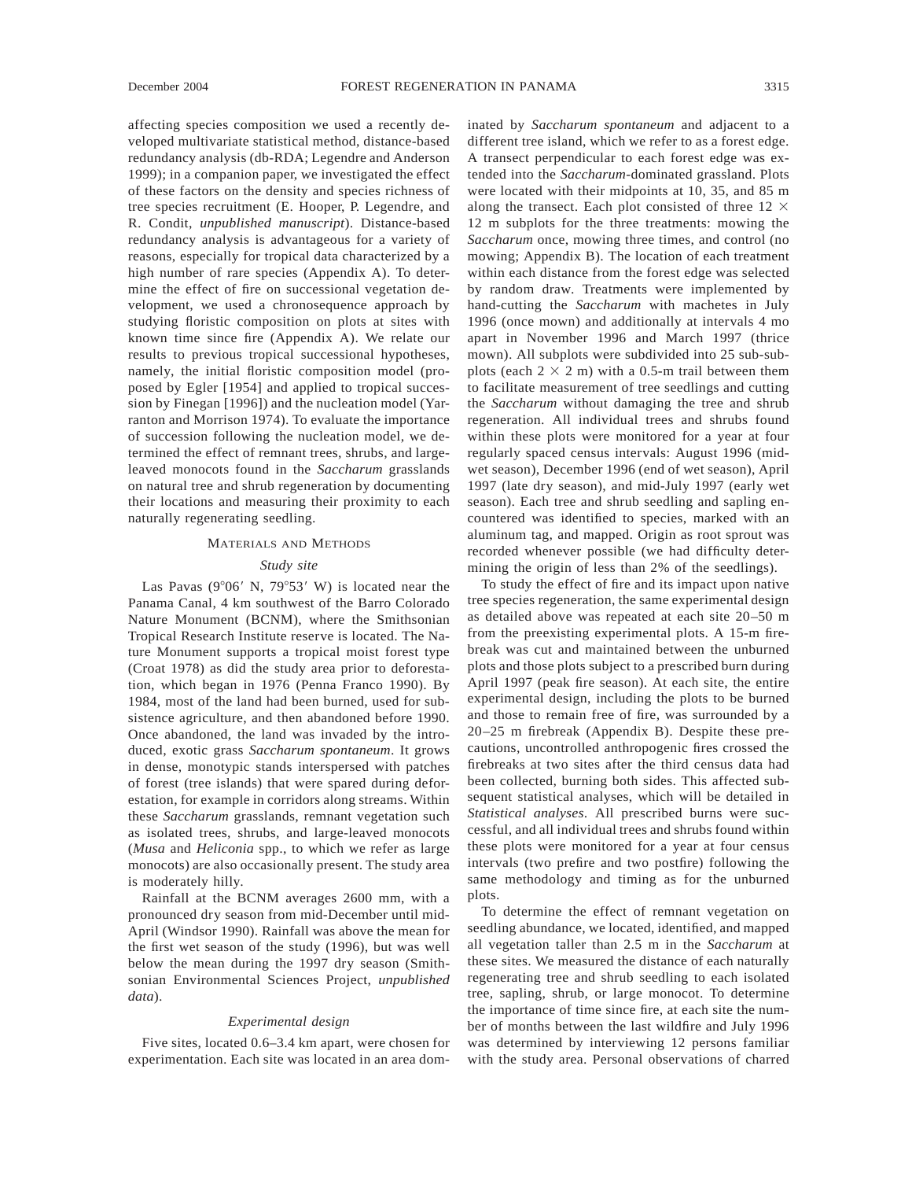affecting species composition we used a recently developed multivariate statistical method, distance-based redundancy analysis (db-RDA; Legendre and Anderson 1999); in a companion paper, we investigated the effect of these factors on the density and species richness of tree species recruitment (E. Hooper, P. Legendre, and R. Condit, *unpublished manuscript*). Distance-based redundancy analysis is advantageous for a variety of reasons, especially for tropical data characterized by a high number of rare species (Appendix A). To determine the effect of fire on successional vegetation development, we used a chronosequence approach by studying floristic composition on plots at sites with known time since fire (Appendix A). We relate our results to previous tropical successional hypotheses, namely, the initial floristic composition model (proposed by Egler [1954] and applied to tropical succession by Finegan [1996]) and the nucleation model (Yarranton and Morrison 1974). To evaluate the importance of succession following the nucleation model, we determined the effect of remnant trees, shrubs, and largeleaved monocots found in the *Saccharum* grasslands on natural tree and shrub regeneration by documenting their locations and measuring their proximity to each naturally regenerating seedling.

### MATERIALS AND METHODS

#### *Study site*

Las Pavas ( $9^{\circ}06'$  N,  $79^{\circ}53'$  W) is located near the Panama Canal, 4 km southwest of the Barro Colorado Nature Monument (BCNM), where the Smithsonian Tropical Research Institute reserve is located. The Nature Monument supports a tropical moist forest type (Croat 1978) as did the study area prior to deforestation, which began in 1976 (Penna Franco 1990). By 1984, most of the land had been burned, used for subsistence agriculture, and then abandoned before 1990. Once abandoned, the land was invaded by the introduced, exotic grass *Saccharum spontaneum*. It grows in dense, monotypic stands interspersed with patches of forest (tree islands) that were spared during deforestation, for example in corridors along streams. Within these *Saccharum* grasslands, remnant vegetation such as isolated trees, shrubs, and large-leaved monocots (*Musa* and *Heliconia* spp., to which we refer as large monocots) are also occasionally present. The study area is moderately hilly.

Rainfall at the BCNM averages 2600 mm, with a pronounced dry season from mid-December until mid-April (Windsor 1990). Rainfall was above the mean for the first wet season of the study (1996), but was well below the mean during the 1997 dry season (Smithsonian Environmental Sciences Project, *unpublished data*).

#### *Experimental design*

Five sites, located 0.6–3.4 km apart, were chosen for experimentation. Each site was located in an area dominated by *Saccharum spontaneum* and adjacent to a different tree island, which we refer to as a forest edge. A transect perpendicular to each forest edge was extended into the *Saccharum*-dominated grassland. Plots were located with their midpoints at 10, 35, and 85 m along the transect. Each plot consisted of three  $12 \times$ 12 m subplots for the three treatments: mowing the *Saccharum* once, mowing three times, and control (no mowing; Appendix B). The location of each treatment within each distance from the forest edge was selected by random draw. Treatments were implemented by hand-cutting the *Saccharum* with machetes in July 1996 (once mown) and additionally at intervals 4 mo apart in November 1996 and March 1997 (thrice mown). All subplots were subdivided into 25 sub-subplots (each  $2 \times 2$  m) with a 0.5-m trail between them to facilitate measurement of tree seedlings and cutting the *Saccharum* without damaging the tree and shrub regeneration. All individual trees and shrubs found within these plots were monitored for a year at four regularly spaced census intervals: August 1996 (midwet season), December 1996 (end of wet season), April 1997 (late dry season), and mid-July 1997 (early wet season). Each tree and shrub seedling and sapling encountered was identified to species, marked with an aluminum tag, and mapped. Origin as root sprout was recorded whenever possible (we had difficulty determining the origin of less than 2% of the seedlings).

To study the effect of fire and its impact upon native tree species regeneration, the same experimental design as detailed above was repeated at each site 20–50 m from the preexisting experimental plots. A 15-m firebreak was cut and maintained between the unburned plots and those plots subject to a prescribed burn during April 1997 (peak fire season). At each site, the entire experimental design, including the plots to be burned and those to remain free of fire, was surrounded by a 20–25 m firebreak (Appendix B). Despite these precautions, uncontrolled anthropogenic fires crossed the firebreaks at two sites after the third census data had been collected, burning both sides. This affected subsequent statistical analyses, which will be detailed in *Statistical analyses*. All prescribed burns were successful, and all individual trees and shrubs found within these plots were monitored for a year at four census intervals (two prefire and two postfire) following the same methodology and timing as for the unburned plots.

To determine the effect of remnant vegetation on seedling abundance, we located, identified, and mapped all vegetation taller than 2.5 m in the *Saccharum* at these sites. We measured the distance of each naturally regenerating tree and shrub seedling to each isolated tree, sapling, shrub, or large monocot. To determine the importance of time since fire, at each site the number of months between the last wildfire and July 1996 was determined by interviewing 12 persons familiar with the study area. Personal observations of charred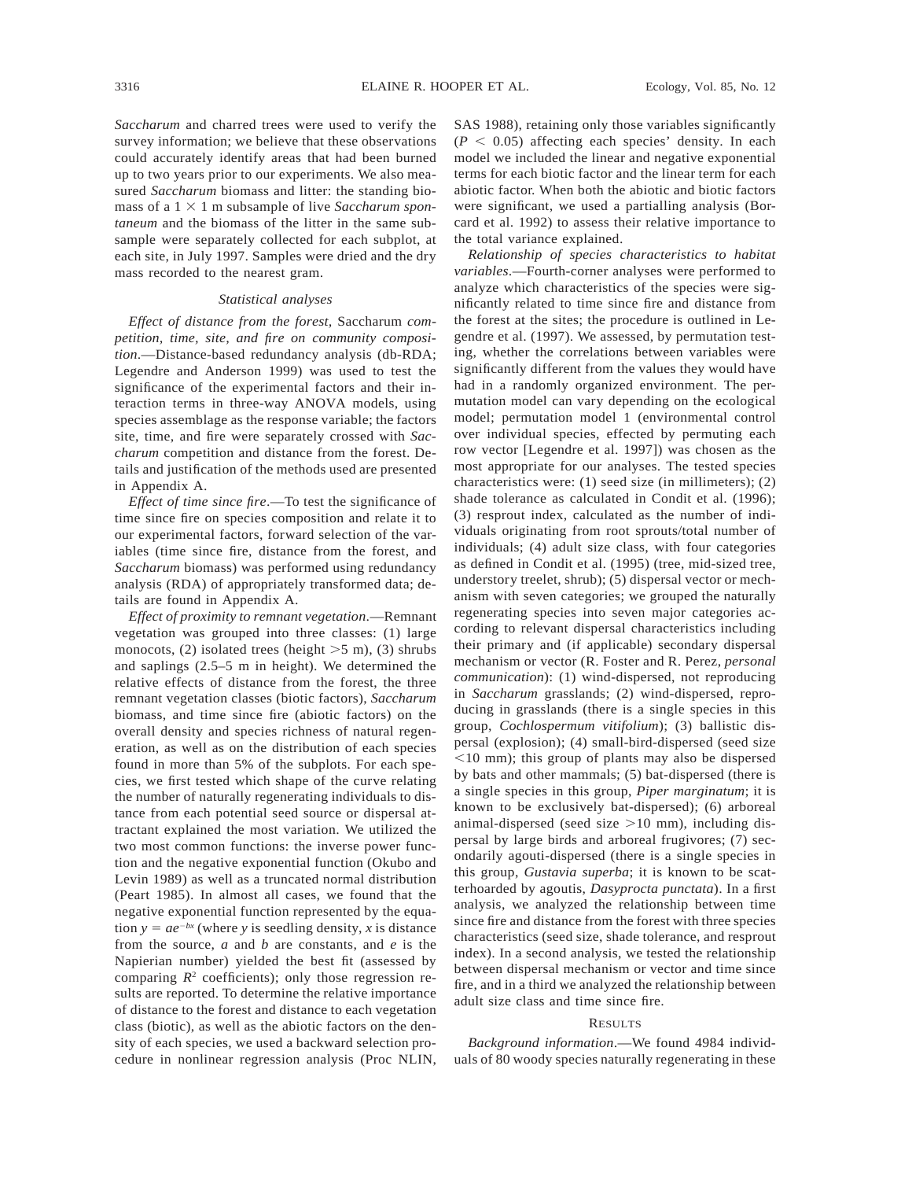*Saccharum* and charred trees were used to verify the survey information; we believe that these observations could accurately identify areas that had been burned up to two years prior to our experiments. We also measured *Saccharum* biomass and litter: the standing biomass of a  $1 \times 1$  m subsample of live *Saccharum spontaneum* and the biomass of the litter in the same subsample were separately collected for each subplot, at each site, in July 1997. Samples were dried and the dry mass recorded to the nearest gram.

#### *Statistical analyses*

*Effect of distance from the forest,* Saccharum *competition, time, site, and fire on community composition*.—Distance-based redundancy analysis (db-RDA; Legendre and Anderson 1999) was used to test the significance of the experimental factors and their interaction terms in three-way ANOVA models, using species assemblage as the response variable; the factors site, time, and fire were separately crossed with *Saccharum* competition and distance from the forest. Details and justification of the methods used are presented in Appendix A.

*Effect of time since fire*.—To test the significance of time since fire on species composition and relate it to our experimental factors, forward selection of the variables (time since fire, distance from the forest, and *Saccharum* biomass) was performed using redundancy analysis (RDA) of appropriately transformed data; details are found in Appendix A.

*Effect of proximity to remnant vegetation*.—Remnant vegetation was grouped into three classes: (1) large monocots, (2) isolated trees (height  $>5$  m), (3) shrubs and saplings (2.5–5 m in height). We determined the relative effects of distance from the forest, the three remnant vegetation classes (biotic factors), *Saccharum* biomass, and time since fire (abiotic factors) on the overall density and species richness of natural regeneration, as well as on the distribution of each species found in more than 5% of the subplots. For each species, we first tested which shape of the curve relating the number of naturally regenerating individuals to distance from each potential seed source or dispersal attractant explained the most variation. We utilized the two most common functions: the inverse power function and the negative exponential function (Okubo and Levin 1989) as well as a truncated normal distribution (Peart 1985). In almost all cases, we found that the negative exponential function represented by the equation  $y = ae^{-bx}$  (where *y* is seedling density, *x* is distance from the source, *a* and *b* are constants, and *e* is the Napierian number) yielded the best fit (assessed by comparing  $R^2$  coefficients); only those regression results are reported. To determine the relative importance of distance to the forest and distance to each vegetation class (biotic), as well as the abiotic factors on the density of each species, we used a backward selection procedure in nonlinear regression analysis (Proc NLIN, SAS 1988), retaining only those variables significantly  $(P < 0.05)$  affecting each species' density. In each model we included the linear and negative exponential terms for each biotic factor and the linear term for each abiotic factor. When both the abiotic and biotic factors were significant, we used a partialling analysis (Borcard et al. 1992) to assess their relative importance to the total variance explained.

*Relationship of species characteristics to habitat variables*.—Fourth-corner analyses were performed to analyze which characteristics of the species were significantly related to time since fire and distance from the forest at the sites; the procedure is outlined in Legendre et al. (1997). We assessed, by permutation testing, whether the correlations between variables were significantly different from the values they would have had in a randomly organized environment. The permutation model can vary depending on the ecological model; permutation model 1 (environmental control over individual species, effected by permuting each row vector [Legendre et al. 1997]) was chosen as the most appropriate for our analyses. The tested species characteristics were: (1) seed size (in millimeters); (2) shade tolerance as calculated in Condit et al. (1996); (3) resprout index, calculated as the number of individuals originating from root sprouts/total number of individuals; (4) adult size class, with four categories as defined in Condit et al. (1995) (tree, mid-sized tree, understory treelet, shrub); (5) dispersal vector or mechanism with seven categories; we grouped the naturally regenerating species into seven major categories according to relevant dispersal characteristics including their primary and (if applicable) secondary dispersal mechanism or vector (R. Foster and R. Perez, *personal communication*): (1) wind-dispersed, not reproducing in *Saccharum* grasslands; (2) wind-dispersed, reproducing in grasslands (there is a single species in this group, *Cochlospermum vitifolium*); (3) ballistic dispersal (explosion); (4) small-bird-dispersed (seed size  $\leq$ 10 mm); this group of plants may also be dispersed by bats and other mammals; (5) bat-dispersed (there is a single species in this group, *Piper marginatum*; it is known to be exclusively bat-dispersed); (6) arboreal animal-dispersed (seed size  $>10$  mm), including dispersal by large birds and arboreal frugivores; (7) secondarily agouti-dispersed (there is a single species in this group, *Gustavia superba*; it is known to be scatterhoarded by agoutis, *Dasyprocta punctata*). In a first analysis, we analyzed the relationship between time since fire and distance from the forest with three species characteristics (seed size, shade tolerance, and resprout index). In a second analysis, we tested the relationship between dispersal mechanism or vector and time since fire, and in a third we analyzed the relationship between adult size class and time since fire.

#### RESULTS

*Background information*.—We found 4984 individuals of 80 woody species naturally regenerating in these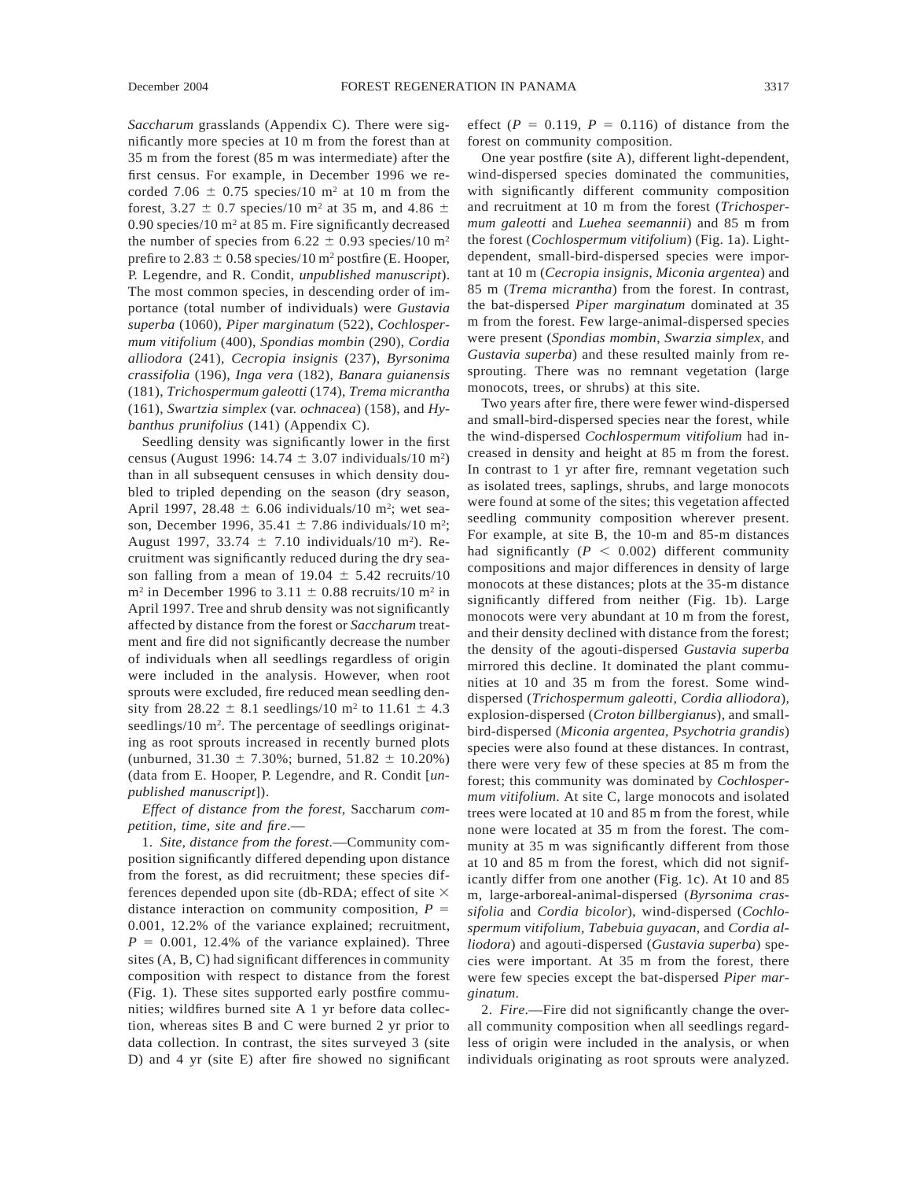*Saccharum* grasslands (Appendix C). There were significantly more species at 10 m from the forest than at 35 m from the forest (85 m was intermediate) after the first census. For example, in December 1996 we recorded 7.06  $\pm$  0.75 species/10 m<sup>2</sup> at 10 m from the forest,  $3.27 \pm 0.7$  species/10 m<sup>2</sup> at 35 m, and 4.86  $\pm$ 0.90 species/10 m2 at 85 m. Fire significantly decreased the number of species from 6.22  $\pm$  0.93 species/10 m<sup>2</sup> prefire to 2.83  $\pm$  0.58 species/10 m<sup>2</sup> postfire (E. Hooper, P. Legendre, and R. Condit, *unpublished manuscript*). The most common species, in descending order of importance (total number of individuals) were *Gustavia superba* (1060), *Piper marginatum* (522), *Cochlospermum vitifolium* (400), *Spondias mombin* (290), *Cordia alliodora* (241), *Cecropia insignis* (237), *Byrsonima crassifolia* (196), *Inga vera* (182), *Banara guianensis* (181), *Trichospermum galeotti* (174), *Trema micrantha* (161), *Swartzia simplex* (var. *ochnacea*) (158), and *Hybanthus prunifolius* (141) (Appendix C).

Seedling density was significantly lower in the first census (August 1996: 14.74  $\pm$  3.07 individuals/10 m<sup>2</sup>) than in all subsequent censuses in which density doubled to tripled depending on the season (dry season, April 1997, 28.48  $\pm$  6.06 individuals/10 m<sup>2</sup>; wet season, December 1996, 35.41  $\pm$  7.86 individuals/10 m<sup>2</sup>; August 1997, 33.74  $\pm$  7.10 individuals/10 m<sup>2</sup>). Recruitment was significantly reduced during the dry season falling from a mean of  $19.04 \pm 5.42$  recruits/10 m<sup>2</sup> in December 1996 to 3.11  $\pm$  0.88 recruits/10 m<sup>2</sup> in April 1997. Tree and shrub density was not significantly affected by distance from the forest or *Saccharum* treatment and fire did not significantly decrease the number of individuals when all seedlings regardless of origin were included in the analysis. However, when root sprouts were excluded, fire reduced mean seedling density from 28.22  $\pm$  8.1 seedlings/10 m<sup>2</sup> to 11.61  $\pm$  4.3 seedlings/10 m<sup>2</sup>. The percentage of seedlings originating as root sprouts increased in recently burned plots (unburned,  $31.30 \pm 7.30\%$ ; burned,  $51.82 \pm 10.20\%$ ) (data from E. Hooper, P. Legendre, and R. Condit [*unpublished manuscript*]).

*Effect of distance from the forest,* Saccharum *competition, time, site and fire*.—

1. *Site, distance from the forest*.—Community composition significantly differed depending upon distance from the forest, as did recruitment; these species differences depended upon site (db-RDA; effect of site  $\times$ distance interaction on community composition,  $P =$ 0.001, 12.2% of the variance explained; recruitment,  $P = 0.001$ , 12.4% of the variance explained). Three sites (A, B, C) had significant differences in community composition with respect to distance from the forest (Fig. 1). These sites supported early postfire communities; wildfires burned site A 1 yr before data collection, whereas sites B and C were burned 2 yr prior to data collection. In contrast, the sites surveyed 3 (site D) and 4 yr (site E) after fire showed no significant effect  $(P = 0.119, P = 0.116)$  of distance from the forest on community composition.

One year postfire (site A), different light-dependent, wind-dispersed species dominated the communities, with significantly different community composition and recruitment at 10 m from the forest (*Trichospermum galeotti* and *Luehea seemannii*) and 85 m from the forest (*Cochlospermum vitifolium*) (Fig. 1a). Lightdependent, small-bird-dispersed species were important at 10 m (*Cecropia insignis*, *Miconia argentea*) and 85 m (*Trema micrantha*) from the forest. In contrast, the bat-dispersed *Piper marginatum* dominated at 35 m from the forest. Few large-animal-dispersed species were present (*Spondias mombin*, *Swarzia simplex*, and *Gustavia superba*) and these resulted mainly from resprouting. There was no remnant vegetation (large monocots, trees, or shrubs) at this site.

Two years after fire, there were fewer wind-dispersed and small-bird-dispersed species near the forest, while the wind-dispersed *Cochlospermum vitifolium* had increased in density and height at 85 m from the forest. In contrast to 1 yr after fire, remnant vegetation such as isolated trees, saplings, shrubs, and large monocots were found at some of the sites; this vegetation affected seedling community composition wherever present. For example, at site B, the 10-m and 85-m distances had significantly  $(P < 0.002)$  different community compositions and major differences in density of large monocots at these distances; plots at the 35-m distance significantly differed from neither (Fig. 1b). Large monocots were very abundant at 10 m from the forest, and their density declined with distance from the forest; the density of the agouti-dispersed *Gustavia superba* mirrored this decline. It dominated the plant communities at 10 and 35 m from the forest. Some winddispersed (*Trichospermum galeotti*, *Cordia alliodora*), explosion-dispersed (*Croton billbergianus*), and smallbird-dispersed (*Miconia argentea*, *Psychotria grandis*) species were also found at these distances. In contrast, there were very few of these species at 85 m from the forest; this community was dominated by *Cochlospermum vitifolium*. At site C, large monocots and isolated trees were located at 10 and 85 m from the forest, while none were located at 35 m from the forest. The community at 35 m was significantly different from those at 10 and 85 m from the forest, which did not significantly differ from one another (Fig. 1c). At 10 and 85 m, large-arboreal-animal-dispersed (*Byrsonima crassifolia* and *Cordia bicolor*), wind-dispersed (*Cochlospermum vitifolium*, *Tabebuia guyacan*, and *Cordia alliodora*) and agouti-dispersed (*Gustavia superba*) species were important. At 35 m from the forest, there were few species except the bat-dispersed *Piper marginatum*.

2. *Fire*.—Fire did not significantly change the overall community composition when all seedlings regardless of origin were included in the analysis, or when individuals originating as root sprouts were analyzed.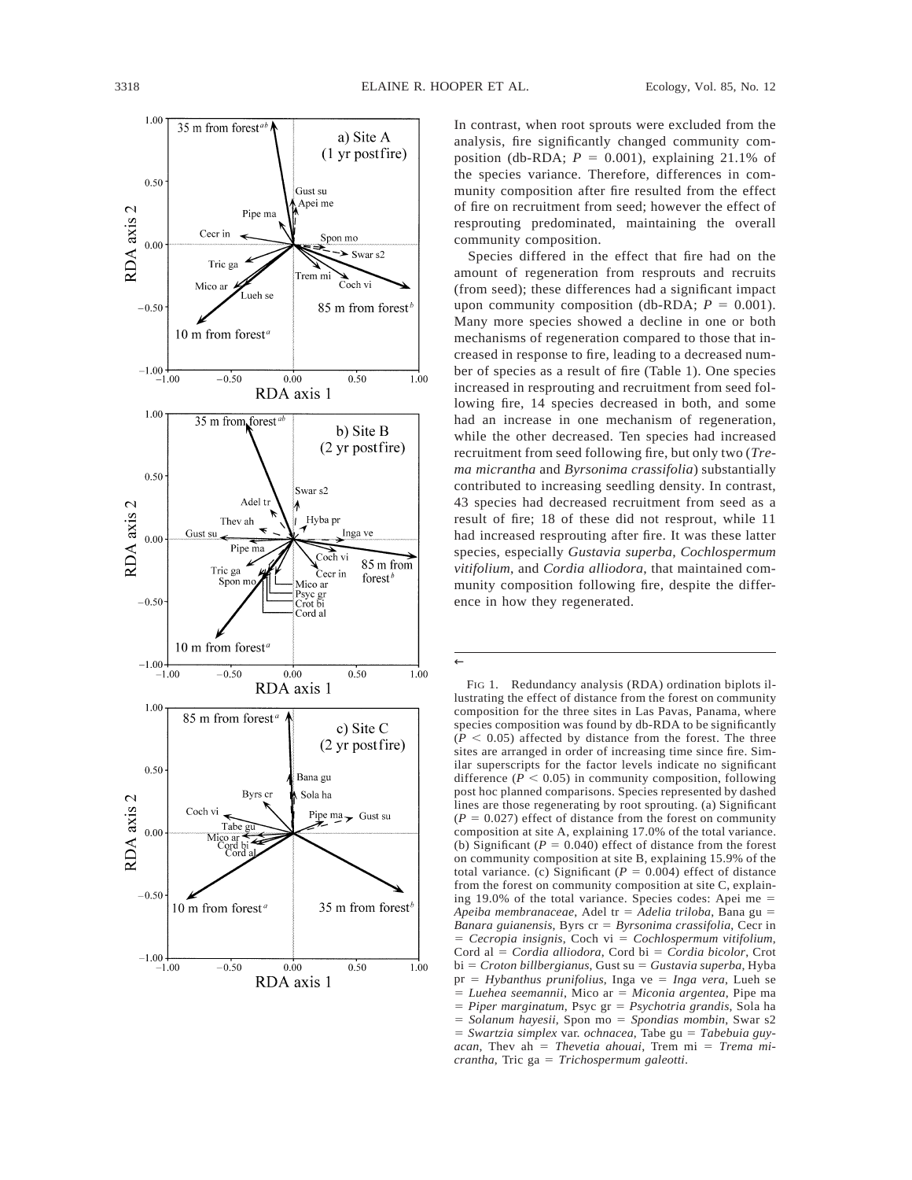←



In contrast, when root sprouts were excluded from the analysis, fire significantly changed community composition (db-RDA;  $P = 0.001$ ), explaining 21.1% of the species variance. Therefore, differences in community composition after fire resulted from the effect of fire on recruitment from seed; however the effect of resprouting predominated, maintaining the overall community composition.

Species differed in the effect that fire had on the amount of regeneration from resprouts and recruits (from seed); these differences had a significant impact upon community composition (db-RDA;  $P = 0.001$ ). Many more species showed a decline in one or both mechanisms of regeneration compared to those that increased in response to fire, leading to a decreased number of species as a result of fire (Table 1). One species increased in resprouting and recruitment from seed following fire, 14 species decreased in both, and some had an increase in one mechanism of regeneration, while the other decreased. Ten species had increased recruitment from seed following fire, but only two (*Trema micrantha* and *Byrsonima crassifolia*) substantially contributed to increasing seedling density. In contrast, 43 species had decreased recruitment from seed as a result of fire; 18 of these did not resprout, while 11 had increased resprouting after fire. It was these latter species, especially *Gustavia superba* , *Cochlospermum vitifolium*, and *Cordia alliodora*, that maintained community composition following fire, despite the difference in how they regenerated.

FIG 1. Redundancy analysis (RDA) ordination biplots illustrating the effect of distance from the forest on community composition for the three sites in Las Pavas, Panama, where species composition was found by db-RDA to be significantly  $(P < 0.05)$  affected by distance from the forest. The three sites are arranged in order of increasing time since fire. Similar superscripts for the factor levels indicate no significant difference ( $P < 0.05$ ) in community composition, following post hoc planned comparisons. Species represented by dashed lines are those regenerating by root sprouting. (a) Significant  $(P = 0.027)$  effect of distance from the forest on community composition at site A, explaining 17.0% of the total variance. (b) Significant ( $P = 0.040$ ) effect of distance from the forest on community composition at site B, explaining 15.9% of the total variance. (c) Significant ( $P = 0.004$ ) effect of distance from the forest on community composition at site C, explaining 19.0% of the total variance. Species codes: Apei me  $=$ *Apeiba membranaceae*, Adel tr 5 *Adelia triloba*, Bana gu 5 *Banara guianensis*, Byrs cr 5 *Byrsonima crassifolia*, Cecr in 5 *Cecropia insignis*, Coch vi 5 *Cochlospermum vitifolium* , Cord al 5 *Cordia alliodora*, Cord bi 5 *Cordia bicolor*, Crot bi 5 *Croton billbergianus*, Gust su 5 *Gustavia superba*, Hyba pr 5 *Hybanthus prunifolius*, Inga ve 5 *Inga vera*, Lueh se 5 *Luehea seemannii*, Mico ar 5 *Miconia argentea*, Pipe ma 5 *Piper marginatum*, Psyc gr 5 *Psychotria grandis*, Sola ha 5 *Solanum hayesii*, Spon mo 5 *Spondias mombin*, Swar s2 5 *Swartzia simplex* var. *ochnacea*, Tabe gu 5 *Tabebuia guyacan*, They ah = *Thevetia ahouai*, Trem mi = *Trema micrantha*, Tric ga 5 *Trichospermum galeotti*.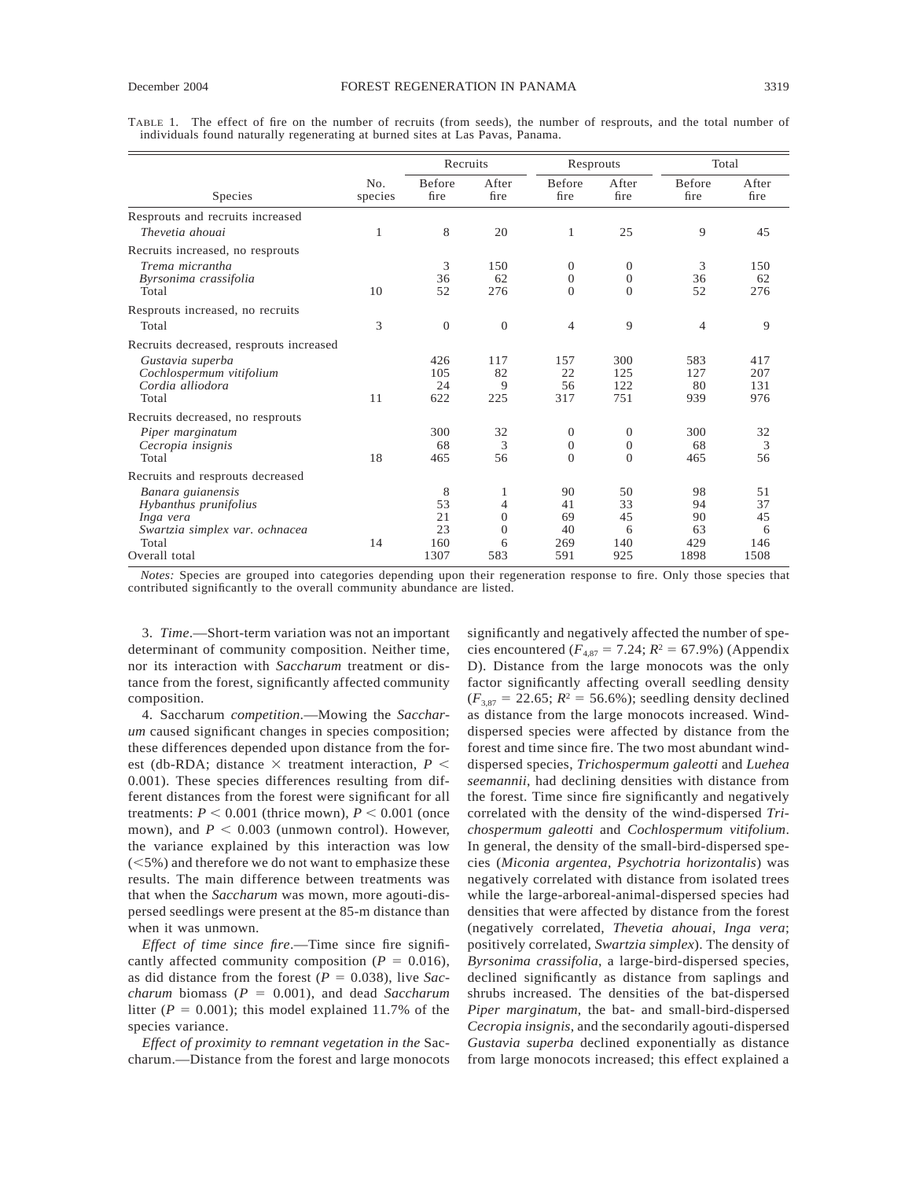TABLE 1. The effect of fire on the number of recruits (from seeds), the number of resprouts, and the total number of individuals found naturally regenerating at burned sites at Las Pavas, Panama.

|                                         |                | Recruits              |                  |                       | Resprouts     | Total                 |               |
|-----------------------------------------|----------------|-----------------------|------------------|-----------------------|---------------|-----------------------|---------------|
| Species                                 | No.<br>species | <b>Before</b><br>fire | After<br>fire    | <b>Before</b><br>fire | After<br>fire | <b>Before</b><br>fire | After<br>fire |
| Resprouts and recruits increased        |                |                       |                  |                       |               |                       |               |
| Thevetia ahouai                         | 1              | 8                     | 20               | 1                     | 25            | 9                     | 45            |
| Recruits increased, no resprouts        |                |                       |                  |                       |               |                       |               |
| Trema micrantha                         |                | 3                     | 150              | $\overline{0}$        | $\theta$      | 3                     | 150           |
| Byrsonima crassifolia                   |                | 36                    | 62               | $\overline{0}$        | $\theta$      | 36                    | 62            |
| Total                                   | 10             | 52                    | 276              | $\theta$              | $\theta$      | 52                    | 276           |
| Resprouts increased, no recruits        |                |                       |                  |                       |               |                       |               |
| Total                                   | 3              | $\boldsymbol{0}$      | $\boldsymbol{0}$ | 4                     | 9             | 4                     | 9             |
| Recruits decreased, resprouts increased |                |                       |                  |                       |               |                       |               |
| Gustavia superba                        |                | 426                   | 117              | 157                   | 300           | 583                   | 417           |
| Cochlospermum vitifolium                |                | 105                   | 82               | 22                    | 125           | 127                   | 207           |
| Cordia alliodora                        |                | 24                    | 9                | 56                    | 122           | 80                    | 131           |
| Total                                   | 11             | 622                   | 225              | 317                   | 751           | 939                   | 976           |
| Recruits decreased, no resprouts        |                |                       |                  |                       |               |                       |               |
| Piper marginatum                        |                | 300                   | 32               | $\overline{0}$        | $\theta$      | 300                   | 32            |
| Cecropia insignis                       |                | 68                    | 3                | $\overline{0}$        | $\theta$      | 68                    | 3             |
| Total                                   | 18             | 465                   | 56               | $\overline{0}$        | $\Omega$      | 465                   | 56            |
| Recruits and resprouts decreased        |                |                       |                  |                       |               |                       |               |
| Banara guianensis                       |                | 8                     | 1                | 90                    | 50            | 98                    | 51            |
| Hybanthus prunifolius                   |                | 53                    | 4                | 41                    | 33            | 94                    | 37            |
| Inga vera                               |                | 21                    | $\Omega$         | 69                    | 45            | 90                    | 45            |
| Swartzia simplex var. ochnacea<br>Total | 14             | 23<br>160             | $\Omega$         | 40<br>269             | 6<br>140      | 63<br>429             | 6<br>146      |
| Overall total                           |                | 1307                  | 6<br>583         | 591                   | 925           | 1898                  | 1508          |
|                                         |                |                       |                  |                       |               |                       |               |

*Notes:* Species are grouped into categories depending upon their regeneration response to fire. Only those species that contributed significantly to the overall community abundance are listed.

3. *Time*.—Short-term variation was not an important determinant of community composition. Neither time, nor its interaction with *Saccharum* treatment or distance from the forest, significantly affected community composition.

4. Saccharum *competition*.—Mowing the *Saccharum* caused significant changes in species composition; these differences depended upon distance from the forest (db-RDA; distance  $\times$  treatment interaction,  $P \leq$ 0.001). These species differences resulting from different distances from the forest were significant for all treatments:  $P \le 0.001$  (thrice mown),  $P \le 0.001$  (once mown), and  $P < 0.003$  (unmown control). However, the variance explained by this interaction was low  $(<5\%)$  and therefore we do not want to emphasize these results. The main difference between treatments was that when the *Saccharum* was mown, more agouti-dispersed seedlings were present at the 85-m distance than when it was unmown.

*Effect of time since fire*.—Time since fire significantly affected community composition  $(P = 0.016)$ , as did distance from the forest ( $P = 0.038$ ), live *Saccharum* biomass ( $P = 0.001$ ), and dead *Saccharum* litter ( $P = 0.001$ ); this model explained 11.7% of the species variance.

*Effect of proximity to remnant vegetation in the* Saccharum.—Distance from the forest and large monocots significantly and negatively affected the number of species encountered ( $F_{4,87} = 7.24$ ;  $R^2 = 67.9\%$ ) (Appendix D). Distance from the large monocots was the only factor significantly affecting overall seedling density  $(F_{3.87} = 22.65; R^2 = 56.6\%)$ ; seedling density declined as distance from the large monocots increased. Winddispersed species were affected by distance from the forest and time since fire. The two most abundant winddispersed species, *Trichospermum galeotti* and *Luehea seemannii*, had declining densities with distance from the forest. Time since fire significantly and negatively correlated with the density of the wind-dispersed *Trichospermum galeotti* and *Cochlospermum vitifolium*. In general, the density of the small-bird-dispersed species (*Miconia argentea*, *Psychotria horizontalis*) was negatively correlated with distance from isolated trees while the large-arboreal-animal-dispersed species had densities that were affected by distance from the forest (negatively correlated, *Thevetia ahouai*, *Inga vera*; positively correlated, *Swartzia simplex*). The density of *Byrsonima crassifolia*, a large-bird-dispersed species, declined significantly as distance from saplings and shrubs increased. The densities of the bat-dispersed *Piper marginatum*, the bat- and small-bird-dispersed *Cecropia insignis*, and the secondarily agouti-dispersed *Gustavia superba* declined exponentially as distance from large monocots increased; this effect explained a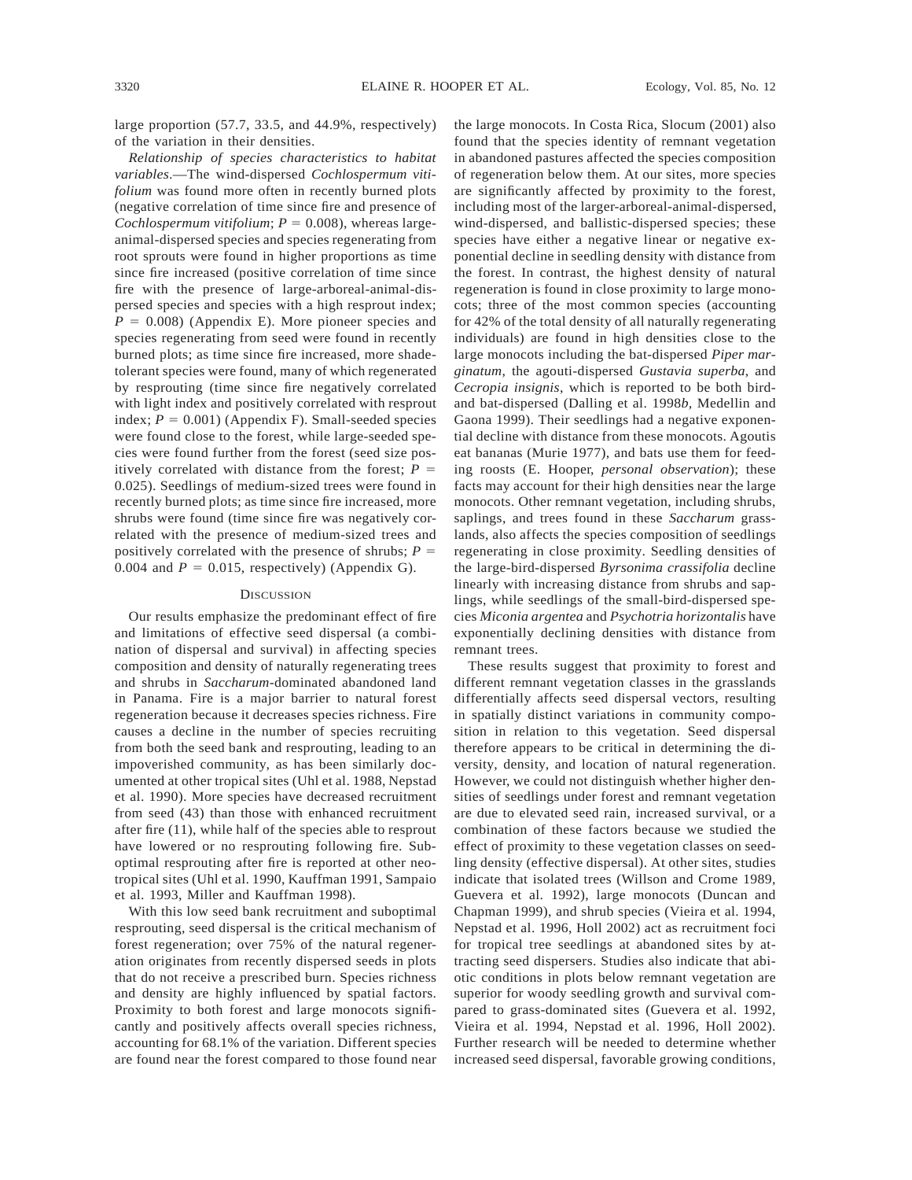large proportion (57.7, 33.5, and 44.9%, respectively) of the variation in their densities.

*Relationship of species characteristics to habitat variables*.—The wind-dispersed *Cochlospermum vitifolium* was found more often in recently burned plots (negative correlation of time since fire and presence of *Cochlospermum vitifolium*;  $P = 0.008$ , whereas largeanimal-dispersed species and species regenerating from root sprouts were found in higher proportions as time since fire increased (positive correlation of time since fire with the presence of large-arboreal-animal-dispersed species and species with a high resprout index;  $P = 0.008$ ) (Appendix E). More pioneer species and species regenerating from seed were found in recently burned plots; as time since fire increased, more shadetolerant species were found, many of which regenerated by resprouting (time since fire negatively correlated with light index and positively correlated with resprout index;  $P = 0.001$ ) (Appendix F). Small-seeded species were found close to the forest, while large-seeded species were found further from the forest (seed size positively correlated with distance from the forest;  $P =$ 0.025). Seedlings of medium-sized trees were found in recently burned plots; as time since fire increased, more shrubs were found (time since fire was negatively correlated with the presence of medium-sized trees and positively correlated with the presence of shrubs;  $P =$ 0.004 and  $P = 0.015$ , respectively) (Appendix G).

#### **DISCUSSION**

Our results emphasize the predominant effect of fire and limitations of effective seed dispersal (a combination of dispersal and survival) in affecting species composition and density of naturally regenerating trees and shrubs in *Saccharum*-dominated abandoned land in Panama. Fire is a major barrier to natural forest regeneration because it decreases species richness. Fire causes a decline in the number of species recruiting from both the seed bank and resprouting, leading to an impoverished community, as has been similarly documented at other tropical sites (Uhl et al. 1988, Nepstad et al. 1990). More species have decreased recruitment from seed (43) than those with enhanced recruitment after fire (11), while half of the species able to resprout have lowered or no resprouting following fire. Suboptimal resprouting after fire is reported at other neotropical sites (Uhl et al. 1990, Kauffman 1991, Sampaio et al. 1993, Miller and Kauffman 1998).

With this low seed bank recruitment and suboptimal resprouting, seed dispersal is the critical mechanism of forest regeneration; over 75% of the natural regeneration originates from recently dispersed seeds in plots that do not receive a prescribed burn. Species richness and density are highly influenced by spatial factors. Proximity to both forest and large monocots significantly and positively affects overall species richness, accounting for 68.1% of the variation. Different species are found near the forest compared to those found near the large monocots. In Costa Rica, Slocum (2001) also found that the species identity of remnant vegetation in abandoned pastures affected the species composition of regeneration below them. At our sites, more species are significantly affected by proximity to the forest, including most of the larger-arboreal-animal-dispersed, wind-dispersed, and ballistic-dispersed species; these species have either a negative linear or negative exponential decline in seedling density with distance from the forest. In contrast, the highest density of natural regeneration is found in close proximity to large monocots; three of the most common species (accounting for 42% of the total density of all naturally regenerating individuals) are found in high densities close to the large monocots including the bat-dispersed *Piper marginatum*, the agouti-dispersed *Gustavia superba*, and *Cecropia insignis*, which is reported to be both birdand bat-dispersed (Dalling et al. 1998*b,* Medellin and Gaona 1999). Their seedlings had a negative exponential decline with distance from these monocots. Agoutis eat bananas (Murie 1977), and bats use them for feeding roosts (E. Hooper, *personal observation*); these facts may account for their high densities near the large monocots. Other remnant vegetation, including shrubs, saplings, and trees found in these *Saccharum* grasslands, also affects the species composition of seedlings regenerating in close proximity. Seedling densities of the large-bird-dispersed *Byrsonima crassifolia* decline linearly with increasing distance from shrubs and saplings, while seedlings of the small-bird-dispersed species *Miconia argentea* and *Psychotria horizontalis* have exponentially declining densities with distance from remnant trees.

These results suggest that proximity to forest and different remnant vegetation classes in the grasslands differentially affects seed dispersal vectors, resulting in spatially distinct variations in community composition in relation to this vegetation. Seed dispersal therefore appears to be critical in determining the diversity, density, and location of natural regeneration. However, we could not distinguish whether higher densities of seedlings under forest and remnant vegetation are due to elevated seed rain, increased survival, or a combination of these factors because we studied the effect of proximity to these vegetation classes on seedling density (effective dispersal). At other sites, studies indicate that isolated trees (Willson and Crome 1989, Guevera et al. 1992), large monocots (Duncan and Chapman 1999), and shrub species (Vieira et al. 1994, Nepstad et al. 1996, Holl 2002) act as recruitment foci for tropical tree seedlings at abandoned sites by attracting seed dispersers. Studies also indicate that abiotic conditions in plots below remnant vegetation are superior for woody seedling growth and survival compared to grass-dominated sites (Guevera et al. 1992, Vieira et al. 1994, Nepstad et al. 1996, Holl 2002). Further research will be needed to determine whether increased seed dispersal, favorable growing conditions,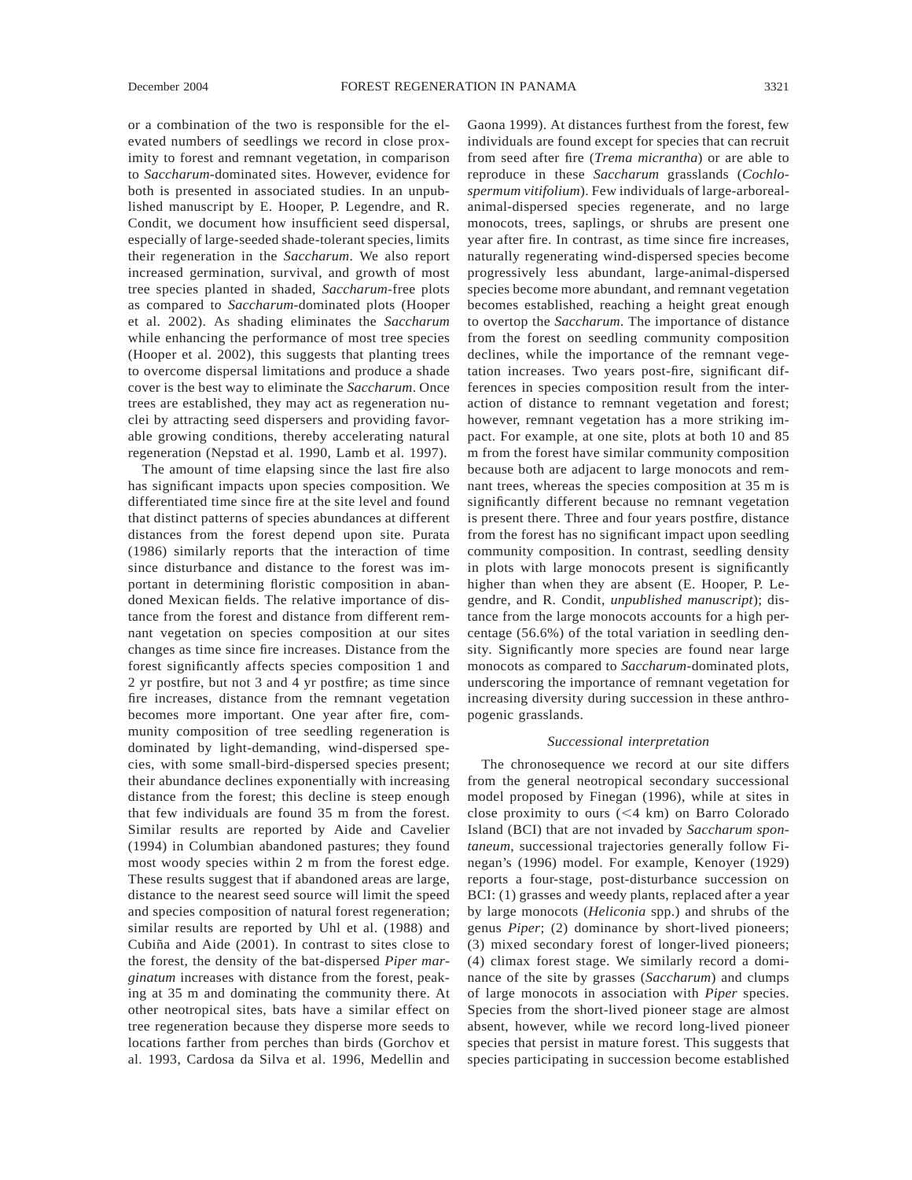or a combination of the two is responsible for the elevated numbers of seedlings we record in close proximity to forest and remnant vegetation, in comparison to *Saccharum*-dominated sites. However, evidence for both is presented in associated studies. In an unpublished manuscript by E. Hooper, P. Legendre, and R. Condit, we document how insufficient seed dispersal, especially of large-seeded shade-tolerant species, limits their regeneration in the *Saccharum*. We also report increased germination, survival, and growth of most tree species planted in shaded, *Saccharum*-free plots as compared to *Saccharum*-dominated plots (Hooper et al. 2002). As shading eliminates the *Saccharum* while enhancing the performance of most tree species (Hooper et al. 2002), this suggests that planting trees to overcome dispersal limitations and produce a shade cover is the best way to eliminate the *Saccharum*. Once trees are established, they may act as regeneration nuclei by attracting seed dispersers and providing favorable growing conditions, thereby accelerating natural regeneration (Nepstad et al. 1990, Lamb et al. 1997).

The amount of time elapsing since the last fire also has significant impacts upon species composition. We differentiated time since fire at the site level and found that distinct patterns of species abundances at different distances from the forest depend upon site. Purata (1986) similarly reports that the interaction of time since disturbance and distance to the forest was important in determining floristic composition in abandoned Mexican fields. The relative importance of distance from the forest and distance from different remnant vegetation on species composition at our sites changes as time since fire increases. Distance from the forest significantly affects species composition 1 and 2 yr postfire, but not 3 and 4 yr postfire; as time since fire increases, distance from the remnant vegetation becomes more important. One year after fire, community composition of tree seedling regeneration is dominated by light-demanding, wind-dispersed species, with some small-bird-dispersed species present; their abundance declines exponentially with increasing distance from the forest; this decline is steep enough that few individuals are found 35 m from the forest. Similar results are reported by Aide and Cavelier (1994) in Columbian abandoned pastures; they found most woody species within 2 m from the forest edge. These results suggest that if abandoned areas are large, distance to the nearest seed source will limit the speed and species composition of natural forest regeneration; similar results are reported by Uhl et al. (1988) and Cubiña and Aide (2001). In contrast to sites close to the forest, the density of the bat-dispersed *Piper marginatum* increases with distance from the forest, peaking at 35 m and dominating the community there. At other neotropical sites, bats have a similar effect on tree regeneration because they disperse more seeds to locations farther from perches than birds (Gorchov et al. 1993, Cardosa da Silva et al. 1996, Medellin and

Gaona 1999). At distances furthest from the forest, few individuals are found except for species that can recruit from seed after fire (*Trema micrantha*) or are able to reproduce in these *Saccharum* grasslands (*Cochlospermum vitifolium*). Few individuals of large-arborealanimal-dispersed species regenerate, and no large monocots, trees, saplings, or shrubs are present one year after fire. In contrast, as time since fire increases, naturally regenerating wind-dispersed species become progressively less abundant, large-animal-dispersed species become more abundant, and remnant vegetation becomes established, reaching a height great enough to overtop the *Saccharum*. The importance of distance from the forest on seedling community composition declines, while the importance of the remnant vegetation increases. Two years post-fire, significant differences in species composition result from the interaction of distance to remnant vegetation and forest; however, remnant vegetation has a more striking impact. For example, at one site, plots at both 10 and 85 m from the forest have similar community composition because both are adjacent to large monocots and remnant trees, whereas the species composition at 35 m is significantly different because no remnant vegetation is present there. Three and four years postfire, distance from the forest has no significant impact upon seedling community composition. In contrast, seedling density in plots with large monocots present is significantly higher than when they are absent (E. Hooper, P. Legendre, and R. Condit, *unpublished manuscript*); distance from the large monocots accounts for a high percentage (56.6%) of the total variation in seedling density. Significantly more species are found near large monocots as compared to *Saccharum*-dominated plots, underscoring the importance of remnant vegetation for increasing diversity during succession in these anthropogenic grasslands.

#### *Successional interpretation*

The chronosequence we record at our site differs from the general neotropical secondary successional model proposed by Finegan (1996), while at sites in close proximity to ours  $(< 4 \text{ km})$  on Barro Colorado Island (BCI) that are not invaded by *Saccharum spontaneum*, successional trajectories generally follow Finegan's (1996) model. For example, Kenoyer (1929) reports a four-stage, post-disturbance succession on BCI: (1) grasses and weedy plants, replaced after a year by large monocots (*Heliconia* spp.) and shrubs of the genus *Piper*; (2) dominance by short-lived pioneers; (3) mixed secondary forest of longer-lived pioneers; (4) climax forest stage. We similarly record a dominance of the site by grasses (*Saccharum*) and clumps of large monocots in association with *Piper* species. Species from the short-lived pioneer stage are almost absent, however, while we record long-lived pioneer species that persist in mature forest. This suggests that species participating in succession become established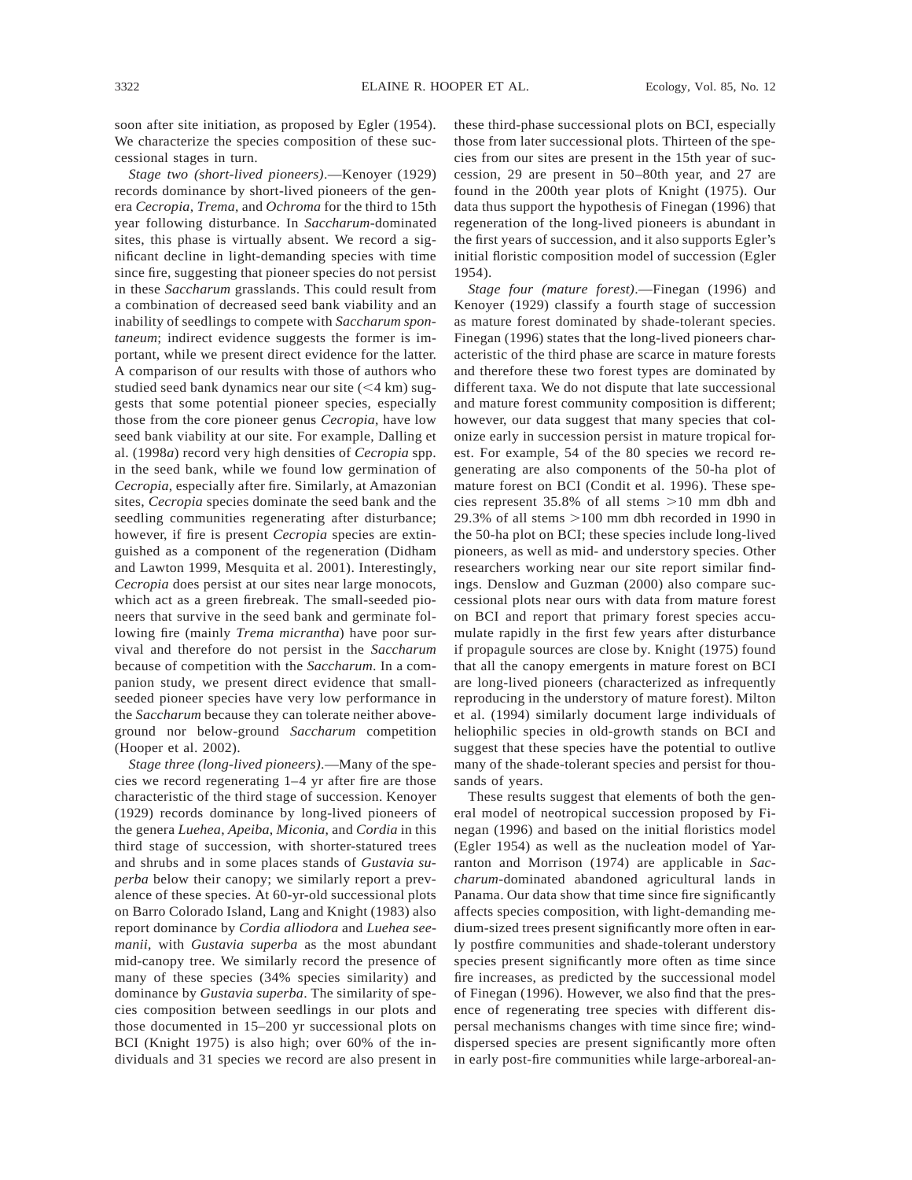soon after site initiation, as proposed by Egler (1954). We characterize the species composition of these successional stages in turn.

*Stage two (short-lived pioneers)*.—Kenoyer (1929) records dominance by short-lived pioneers of the genera *Cecropia*, *Trema*, and *Ochroma* for the third to 15th year following disturbance. In *Saccharum*-dominated sites, this phase is virtually absent. We record a significant decline in light-demanding species with time since fire, suggesting that pioneer species do not persist in these *Saccharum* grasslands. This could result from a combination of decreased seed bank viability and an inability of seedlings to compete with *Saccharum spontaneum*; indirect evidence suggests the former is important, while we present direct evidence for the latter. A comparison of our results with those of authors who studied seed bank dynamics near our site  $(<$  4 km) suggests that some potential pioneer species, especially those from the core pioneer genus *Cecropia*, have low seed bank viability at our site. For example, Dalling et al. (1998*a*) record very high densities of *Cecropia* spp. in the seed bank, while we found low germination of *Cecropia*, especially after fire. Similarly, at Amazonian sites, *Cecropia* species dominate the seed bank and the seedling communities regenerating after disturbance; however, if fire is present *Cecropia* species are extinguished as a component of the regeneration (Didham and Lawton 1999, Mesquita et al. 2001). Interestingly, *Cecropia* does persist at our sites near large monocots, which act as a green firebreak. The small-seeded pioneers that survive in the seed bank and germinate following fire (mainly *Trema micrantha*) have poor survival and therefore do not persist in the *Saccharum* because of competition with the *Saccharum*. In a companion study, we present direct evidence that smallseeded pioneer species have very low performance in the *Saccharum* because they can tolerate neither aboveground nor below-ground *Saccharum* competition (Hooper et al. 2002).

*Stage three (long-lived pioneers)*.—Many of the species we record regenerating 1–4 yr after fire are those characteristic of the third stage of succession. Kenoyer (1929) records dominance by long-lived pioneers of the genera *Luehea*, *Apeiba*, *Miconia*, and *Cordia* in this third stage of succession, with shorter-statured trees and shrubs and in some places stands of *Gustavia superba* below their canopy; we similarly report a prevalence of these species. At 60-yr-old successional plots on Barro Colorado Island, Lang and Knight (1983) also report dominance by *Cordia alliodora* and *Luehea seemanii*, with *Gustavia superba* as the most abundant mid-canopy tree. We similarly record the presence of many of these species (34% species similarity) and dominance by *Gustavia superba*. The similarity of species composition between seedlings in our plots and those documented in 15–200 yr successional plots on BCI (Knight 1975) is also high; over 60% of the individuals and 31 species we record are also present in

these third-phase successional plots on BCI, especially those from later successional plots. Thirteen of the species from our sites are present in the 15th year of succession, 29 are present in 50–80th year, and 27 are found in the 200th year plots of Knight (1975). Our data thus support the hypothesis of Finegan (1996) that regeneration of the long-lived pioneers is abundant in the first years of succession, and it also supports Egler's initial floristic composition model of succession (Egler 1954).

*Stage four (mature forest)*.—Finegan (1996) and Kenoyer (1929) classify a fourth stage of succession as mature forest dominated by shade-tolerant species. Finegan (1996) states that the long-lived pioneers characteristic of the third phase are scarce in mature forests and therefore these two forest types are dominated by different taxa. We do not dispute that late successional and mature forest community composition is different; however, our data suggest that many species that colonize early in succession persist in mature tropical forest. For example, 54 of the 80 species we record regenerating are also components of the 50-ha plot of mature forest on BCI (Condit et al. 1996). These species represent  $35.8\%$  of all stems  $>10$  mm dbh and 29.3% of all stems  $>100$  mm dbh recorded in 1990 in the 50-ha plot on BCI; these species include long-lived pioneers, as well as mid- and understory species. Other researchers working near our site report similar findings. Denslow and Guzman (2000) also compare successional plots near ours with data from mature forest on BCI and report that primary forest species accumulate rapidly in the first few years after disturbance if propagule sources are close by. Knight (1975) found that all the canopy emergents in mature forest on BCI are long-lived pioneers (characterized as infrequently reproducing in the understory of mature forest). Milton et al. (1994) similarly document large individuals of heliophilic species in old-growth stands on BCI and suggest that these species have the potential to outlive many of the shade-tolerant species and persist for thousands of years.

These results suggest that elements of both the general model of neotropical succession proposed by Finegan (1996) and based on the initial floristics model (Egler 1954) as well as the nucleation model of Yarranton and Morrison (1974) are applicable in *Saccharum*-dominated abandoned agricultural lands in Panama. Our data show that time since fire significantly affects species composition, with light-demanding medium-sized trees present significantly more often in early postfire communities and shade-tolerant understory species present significantly more often as time since fire increases, as predicted by the successional model of Finegan (1996). However, we also find that the presence of regenerating tree species with different dispersal mechanisms changes with time since fire; winddispersed species are present significantly more often in early post-fire communities while large-arboreal-an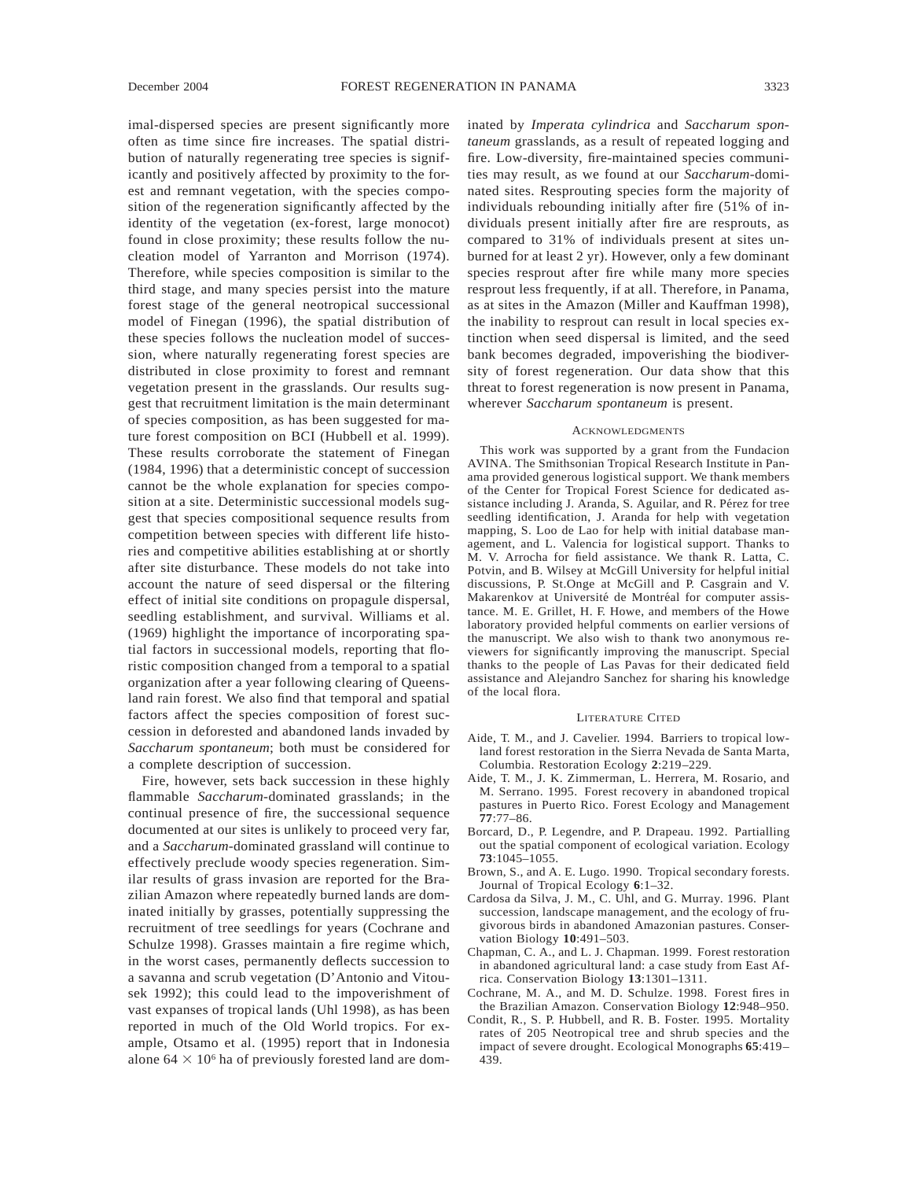imal-dispersed species are present significantly more often as time since fire increases. The spatial distribution of naturally regenerating tree species is significantly and positively affected by proximity to the forest and remnant vegetation, with the species composition of the regeneration significantly affected by the identity of the vegetation (ex-forest, large monocot) found in close proximity; these results follow the nucleation model of Yarranton and Morrison (1974). Therefore, while species composition is similar to the third stage, and many species persist into the mature forest stage of the general neotropical successional model of Finegan (1996), the spatial distribution of these species follows the nucleation model of succession, where naturally regenerating forest species are distributed in close proximity to forest and remnant vegetation present in the grasslands. Our results suggest that recruitment limitation is the main determinant of species composition, as has been suggested for mature forest composition on BCI (Hubbell et al. 1999). These results corroborate the statement of Finegan (1984, 1996) that a deterministic concept of succession cannot be the whole explanation for species composition at a site. Deterministic successional models suggest that species compositional sequence results from competition between species with different life histories and competitive abilities establishing at or shortly after site disturbance. These models do not take into account the nature of seed dispersal or the filtering effect of initial site conditions on propagule dispersal, seedling establishment, and survival. Williams et al. (1969) highlight the importance of incorporating spatial factors in successional models, reporting that floristic composition changed from a temporal to a spatial organization after a year following clearing of Queensland rain forest. We also find that temporal and spatial factors affect the species composition of forest succession in deforested and abandoned lands invaded by *Saccharum spontaneum*; both must be considered for a complete description of succession.

Fire, however, sets back succession in these highly flammable *Saccharum*-dominated grasslands; in the continual presence of fire, the successional sequence documented at our sites is unlikely to proceed very far, and a *Saccharum*-dominated grassland will continue to effectively preclude woody species regeneration. Similar results of grass invasion are reported for the Brazilian Amazon where repeatedly burned lands are dominated initially by grasses, potentially suppressing the recruitment of tree seedlings for years (Cochrane and Schulze 1998). Grasses maintain a fire regime which, in the worst cases, permanently deflects succession to a savanna and scrub vegetation (D'Antonio and Vitousek 1992); this could lead to the impoverishment of vast expanses of tropical lands (Uhl 1998), as has been reported in much of the Old World tropics. For example, Otsamo et al. (1995) report that in Indonesia alone  $64 \times 10^6$  ha of previously forested land are dominated by *Imperata cylindrica* and *Saccharum spontaneum* grasslands, as a result of repeated logging and fire. Low-diversity, fire-maintained species communities may result, as we found at our *Saccharum*-dominated sites. Resprouting species form the majority of individuals rebounding initially after fire (51% of individuals present initially after fire are resprouts, as compared to 31% of individuals present at sites unburned for at least 2 yr). However, only a few dominant species resprout after fire while many more species resprout less frequently, if at all. Therefore, in Panama, as at sites in the Amazon (Miller and Kauffman 1998), the inability to resprout can result in local species extinction when seed dispersal is limited, and the seed bank becomes degraded, impoverishing the biodiversity of forest regeneration. Our data show that this threat to forest regeneration is now present in Panama, wherever *Saccharum spontaneum* is present.

#### **ACKNOWLEDGMENTS**

This work was supported by a grant from the Fundacion AVINA. The Smithsonian Tropical Research Institute in Panama provided generous logistical support. We thank members of the Center for Tropical Forest Science for dedicated assistance including J. Aranda, S. Aguilar, and R. Pérez for tree seedling identification, J. Aranda for help with vegetation mapping, S. Loo de Lao for help with initial database management, and L. Valencia for logistical support. Thanks to M. V. Arrocha for field assistance. We thank R. Latta, C. Potvin, and B. Wilsey at McGill University for helpful initial discussions, P. St.Onge at McGill and P. Casgrain and V. Makarenkov at Université de Montréal for computer assistance. M. E. Grillet, H. F. Howe, and members of the Howe laboratory provided helpful comments on earlier versions of the manuscript. We also wish to thank two anonymous reviewers for significantly improving the manuscript. Special thanks to the people of Las Pavas for their dedicated field assistance and Alejandro Sanchez for sharing his knowledge of the local flora.

#### LITERATURE CITED

- Aide, T. M., and J. Cavelier. 1994. Barriers to tropical lowland forest restoration in the Sierra Nevada de Santa Marta, Columbia. Restoration Ecology **2**:219–229.
- Aide, T. M., J. K. Zimmerman, L. Herrera, M. Rosario, and M. Serrano. 1995. Forest recovery in abandoned tropical pastures in Puerto Rico. Forest Ecology and Management **77**:77–86.
- Borcard, D., P. Legendre, and P. Drapeau. 1992. Partialling out the spatial component of ecological variation. Ecology **73**:1045–1055.
- Brown, S., and A. E. Lugo. 1990. Tropical secondary forests. Journal of Tropical Ecology **6**:1–32.
- Cardosa da Silva, J. M., C. Uhl, and G. Murray. 1996. Plant succession, landscape management, and the ecology of frugivorous birds in abandoned Amazonian pastures. Conservation Biology **10**:491–503.
- Chapman, C. A., and L. J. Chapman. 1999. Forest restoration in abandoned agricultural land: a case study from East Africa. Conservation Biology **13**:1301–1311.
- Cochrane, M. A., and M. D. Schulze. 1998. Forest fires in the Brazilian Amazon. Conservation Biology **12**:948–950.
- Condit, R., S. P. Hubbell, and R. B. Foster. 1995. Mortality rates of 205 Neotropical tree and shrub species and the impact of severe drought. Ecological Monographs **65**:419– 439.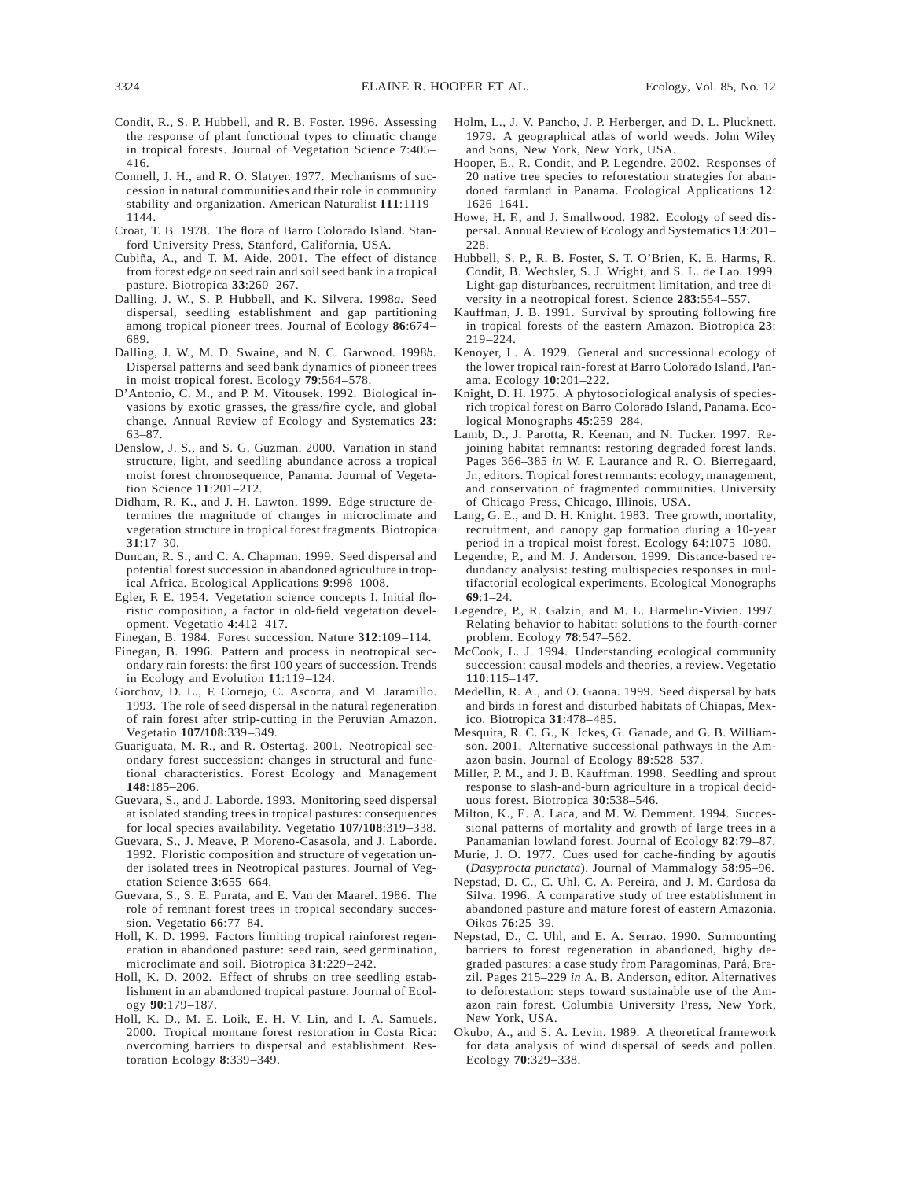- Condit, R., S. P. Hubbell, and R. B. Foster. 1996. Assessing the response of plant functional types to climatic change in tropical forests. Journal of Vegetation Science **7**:405– 416.
- Connell, J. H., and R. O. Slatyer. 1977. Mechanisms of succession in natural communities and their role in community stability and organization. American Naturalist **111**:1119– 1144.
- Croat, T. B. 1978. The flora of Barro Colorado Island. Stanford University Press, Stanford, California, USA.
- Cubiña, A., and T. M. Aide. 2001. The effect of distance from forest edge on seed rain and soil seed bank in a tropical pasture. Biotropica **33**:260–267.
- Dalling, J. W., S. P. Hubbell, and K. Silvera. 1998*a.* Seed dispersal, seedling establishment and gap partitioning among tropical pioneer trees. Journal of Ecology **86**:674– 689.
- Dalling, J. W., M. D. Swaine, and N. C. Garwood. 1998*b.* Dispersal patterns and seed bank dynamics of pioneer trees in moist tropical forest. Ecology **79**:564–578.
- D'Antonio, C. M., and P. M. Vitousek. 1992. Biological invasions by exotic grasses, the grass/fire cycle, and global change. Annual Review of Ecology and Systematics **23**: 63–87.
- Denslow, J. S., and S. G. Guzman. 2000. Variation in stand structure, light, and seedling abundance across a tropical moist forest chronosequence, Panama. Journal of Vegetation Science **11**:201–212.
- Didham, R. K., and J. H. Lawton. 1999. Edge structure determines the magnitude of changes in microclimate and vegetation structure in tropical forest fragments. Biotropica **31**:17–30.
- Duncan, R. S., and C. A. Chapman. 1999. Seed dispersal and potential forest succession in abandoned agriculture in tropical Africa. Ecological Applications **9**:998–1008.
- Egler, F. E. 1954. Vegetation science concepts I. Initial floristic composition, a factor in old-field vegetation development. Vegetatio **4**:412–417.
- Finegan, B. 1984. Forest succession. Nature **312**:109–114.
- Finegan, B. 1996. Pattern and process in neotropical secondary rain forests: the first 100 years of succession. Trends in Ecology and Evolution **11**:119–124.
- Gorchov, D. L., F. Cornejo, C. Ascorra, and M. Jaramillo. 1993. The role of seed dispersal in the natural regeneration of rain forest after strip-cutting in the Peruvian Amazon. Vegetatio **107/108**:339–349.
- Guariguata, M. R., and R. Ostertag. 2001. Neotropical secondary forest succession: changes in structural and functional characteristics. Forest Ecology and Management **148**:185–206.
- Guevara, S., and J. Laborde. 1993. Monitoring seed dispersal at isolated standing trees in tropical pastures: consequences for local species availability. Vegetatio **107/108**:319–338.
- Guevara, S., J. Meave, P. Moreno-Casasola, and J. Laborde. 1992. Floristic composition and structure of vegetation under isolated trees in Neotropical pastures. Journal of Vegetation Science **3**:655–664.
- Guevara, S., S. E. Purata, and E. Van der Maarel. 1986. The role of remnant forest trees in tropical secondary succession. Vegetatio **66**:77–84.
- Holl, K. D. 1999. Factors limiting tropical rainforest regeneration in abandoned pasture: seed rain, seed germination, microclimate and soil. Biotropica **31**:229–242.
- Holl, K. D. 2002. Effect of shrubs on tree seedling establishment in an abandoned tropical pasture. Journal of Ecology **90**:179–187.
- Holl, K. D., M. E. Loik, E. H. V. Lin, and I. A. Samuels. 2000. Tropical montane forest restoration in Costa Rica: overcoming barriers to dispersal and establishment. Restoration Ecology **8**:339–349.
- Holm, L., J. V. Pancho, J. P. Herberger, and D. L. Plucknett. 1979. A geographical atlas of world weeds. John Wiley and Sons, New York, New York, USA.
- Hooper, E., R. Condit, and P. Legendre. 2002. Responses of 20 native tree species to reforestation strategies for abandoned farmland in Panama. Ecological Applications **12**: 1626–1641.
- Howe, H. F., and J. Smallwood. 1982. Ecology of seed dispersal. Annual Review of Ecology and Systematics **13**:201– 228.
- Hubbell, S. P., R. B. Foster, S. T. O'Brien, K. E. Harms, R. Condit, B. Wechsler, S. J. Wright, and S. L. de Lao. 1999. Light-gap disturbances, recruitment limitation, and tree diversity in a neotropical forest. Science **283**:554–557.
- Kauffman, J. B. 1991. Survival by sprouting following fire in tropical forests of the eastern Amazon. Biotropica **23**: 219–224.
- Kenoyer, L. A. 1929. General and successional ecology of the lower tropical rain-forest at Barro Colorado Island, Panama. Ecology **10**:201–222.
- Knight, D. H. 1975. A phytosociological analysis of speciesrich tropical forest on Barro Colorado Island, Panama. Ecological Monographs **45**:259–284.
- Lamb, D., J. Parotta, R. Keenan, and N. Tucker. 1997. Rejoining habitat remnants: restoring degraded forest lands. Pages 366–385 *in* W. F. Laurance and R. O. Bierregaard, Jr., editors. Tropical forest remnants: ecology, management, and conservation of fragmented communities. University of Chicago Press, Chicago, Illinois, USA.
- Lang, G. E., and D. H. Knight. 1983. Tree growth, mortality, recruitment, and canopy gap formation during a 10-year period in a tropical moist forest. Ecology **64**:1075–1080.
- Legendre, P., and M. J. Anderson. 1999. Distance-based redundancy analysis: testing multispecies responses in multifactorial ecological experiments. Ecological Monographs **69**:1–24.
- Legendre, P., R. Galzin, and M. L. Harmelin-Vivien. 1997. Relating behavior to habitat: solutions to the fourth-corner problem. Ecology **78**:547–562.
- McCook, L. J. 1994. Understanding ecological community succession: causal models and theories, a review. Vegetatio **110**:115–147.
- Medellin, R. A., and O. Gaona. 1999. Seed dispersal by bats and birds in forest and disturbed habitats of Chiapas, Mexico. Biotropica **31**:478–485.
- Mesquita, R. C. G., K. Ickes, G. Ganade, and G. B. Williamson. 2001. Alternative successional pathways in the Amazon basin. Journal of Ecology **89**:528–537.
- Miller, P. M., and J. B. Kauffman. 1998. Seedling and sprout response to slash-and-burn agriculture in a tropical deciduous forest. Biotropica **30**:538–546.
- Milton, K., E. A. Laca, and M. W. Demment. 1994. Successional patterns of mortality and growth of large trees in a Panamanian lowland forest. Journal of Ecology **82**:79–87.
- Murie, J. O. 1977. Cues used for cache-finding by agoutis (*Dasyprocta punctata*). Journal of Mammalogy **58**:95–96.
- Nepstad, D. C., C. Uhl, C. A. Pereira, and J. M. Cardosa da Silva. 1996. A comparative study of tree establishment in abandoned pasture and mature forest of eastern Amazonia. Oikos **76**:25–39.
- Nepstad, D., C. Uhl, and E. A. Serrao. 1990. Surmounting barriers to forest regeneration in abandoned, highy degraded pastures: a case study from Paragominas, Para´, Brazil. Pages 215–229 *in* A. B. Anderson, editor. Alternatives to deforestation: steps toward sustainable use of the Amazon rain forest. Columbia University Press, New York, New York, USA.
- Okubo, A., and S. A. Levin. 1989. A theoretical framework for data analysis of wind dispersal of seeds and pollen. Ecology **70**:329–338.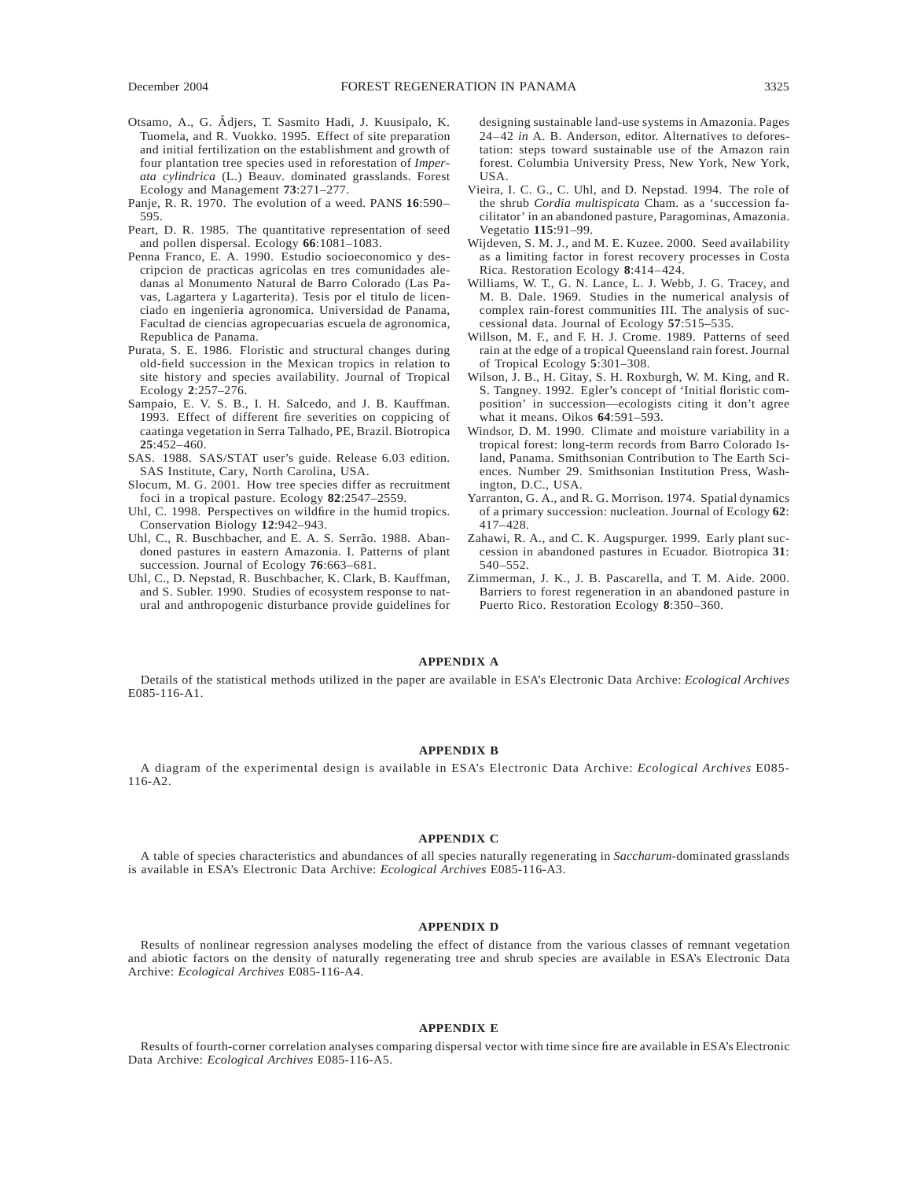- Otsamo, A., G. Ådjers, T. Sasmito Hadi, J. Kuusipalo, K. Tuomela, and R. Vuokko. 1995. Effect of site preparation and initial fertilization on the establishment and growth of four plantation tree species used in reforestation of *Imperata cylindrica* (L.) Beauv. dominated grasslands. Forest Ecology and Management **73**:271–277.
- Panje, R. R. 1970. The evolution of a weed. PANS **16**:590– 595.
- Peart, D. R. 1985. The quantitative representation of seed and pollen dispersal. Ecology **66**:1081–1083.
- Penna Franco, E. A. 1990. Estudio socioeconomico y descripcion de practicas agricolas en tres comunidades aledanas al Monumento Natural de Barro Colorado (Las Pavas, Lagartera y Lagarterita). Tesis por el titulo de licenciado en ingenieria agronomica. Universidad de Panama, Facultad de ciencias agropecuarias escuela de agronomica, Republica de Panama.
- Purata, S. E. 1986. Floristic and structural changes during old-field succession in the Mexican tropics in relation to site history and species availability. Journal of Tropical Ecology **2**:257–276.
- Sampaio, E. V. S. B., I. H. Salcedo, and J. B. Kauffman. 1993. Effect of different fire severities on coppicing of caatinga vegetation in Serra Talhado, PE, Brazil. Biotropica **25**:452–460.
- SAS. 1988. SAS/STAT user's guide. Release 6.03 edition. SAS Institute, Cary, North Carolina, USA.
- Slocum, M. G. 2001. How tree species differ as recruitment foci in a tropical pasture. Ecology **82**:2547–2559.
- Uhl, C. 1998. Perspectives on wildfire in the humid tropics. Conservation Biology **12**:942–943.
- Uhl, C., R. Buschbacher, and E. A. S. Serrão. 1988. Abandoned pastures in eastern Amazonia. I. Patterns of plant succession. Journal of Ecology **76**:663–681.
- Uhl, C., D. Nepstad, R. Buschbacher, K. Clark, B. Kauffman, and S. Subler. 1990. Studies of ecosystem response to natural and anthropogenic disturbance provide guidelines for

designing sustainable land-use systems in Amazonia. Pages 24–42 *in* A. B. Anderson, editor. Alternatives to deforestation: steps toward sustainable use of the Amazon rain forest. Columbia University Press, New York, New York, USA.

- Vieira, I. C. G., C. Uhl, and D. Nepstad. 1994. The role of the shrub *Cordia multispicata* Cham. as a 'succession facilitator' in an abandoned pasture, Paragominas, Amazonia. Vegetatio **115**:91–99.
- Wijdeven, S. M. J., and M. E. Kuzee. 2000. Seed availability as a limiting factor in forest recovery processes in Costa Rica. Restoration Ecology **8**:414–424.
- Williams, W. T., G. N. Lance, L. J. Webb, J. G. Tracey, and M. B. Dale. 1969. Studies in the numerical analysis of complex rain-forest communities III. The analysis of successional data. Journal of Ecology **57**:515–535.
- Willson, M. F., and F. H. J. Crome. 1989. Patterns of seed rain at the edge of a tropical Queensland rain forest. Journal of Tropical Ecology **5**:301–308.
- Wilson, J. B., H. Gitay, S. H. Roxburgh, W. M. King, and R. S. Tangney. 1992. Egler's concept of 'Initial floristic composition' in succession—ecologists citing it don't agree what it means. Oikos **64**:591–593.
- Windsor, D. M. 1990. Climate and moisture variability in a tropical forest: long-term records from Barro Colorado Island, Panama. Smithsonian Contribution to The Earth Sciences. Number 29. Smithsonian Institution Press, Washington, D.C., USA.
- Yarranton, G. A., and R. G. Morrison. 1974. Spatial dynamics of a primary succession: nucleation. Journal of Ecology **62**: 417–428.
- Zahawi, R. A., and C. K. Augspurger. 1999. Early plant succession in abandoned pastures in Ecuador. Biotropica **31**: 540–552.
- Zimmerman, J. K., J. B. Pascarella, and T. M. Aide. 2000. Barriers to forest regeneration in an abandoned pasture in Puerto Rico. Restoration Ecology **8**:350–360.

### **APPENDIX A**

Details of the statistical methods utilized in the paper are available in ESA's Electronic Data Archive: *Ecological Archives* E085-116-A1.

#### **APPENDIX B**

A diagram of the experimental design is available in ESA's Electronic Data Archive: *Ecological Archives* E085- 116-A2.

#### **APPENDIX C**

A table of species characteristics and abundances of all species naturally regenerating in *Saccharum*-dominated grasslands is available in ESA's Electronic Data Archive: *Ecological Archives* E085-116-A3.

#### **APPENDIX D**

Results of nonlinear regression analyses modeling the effect of distance from the various classes of remnant vegetation and abiotic factors on the density of naturally regenerating tree and shrub species are available in ESA's Electronic Data Archive: *Ecological Archives* E085-116-A4.

#### **APPENDIX E**

Results of fourth-corner correlation analyses comparing dispersal vector with time since fire are available in ESA's Electronic Data Archive: *Ecological Archives* E085-116-A5.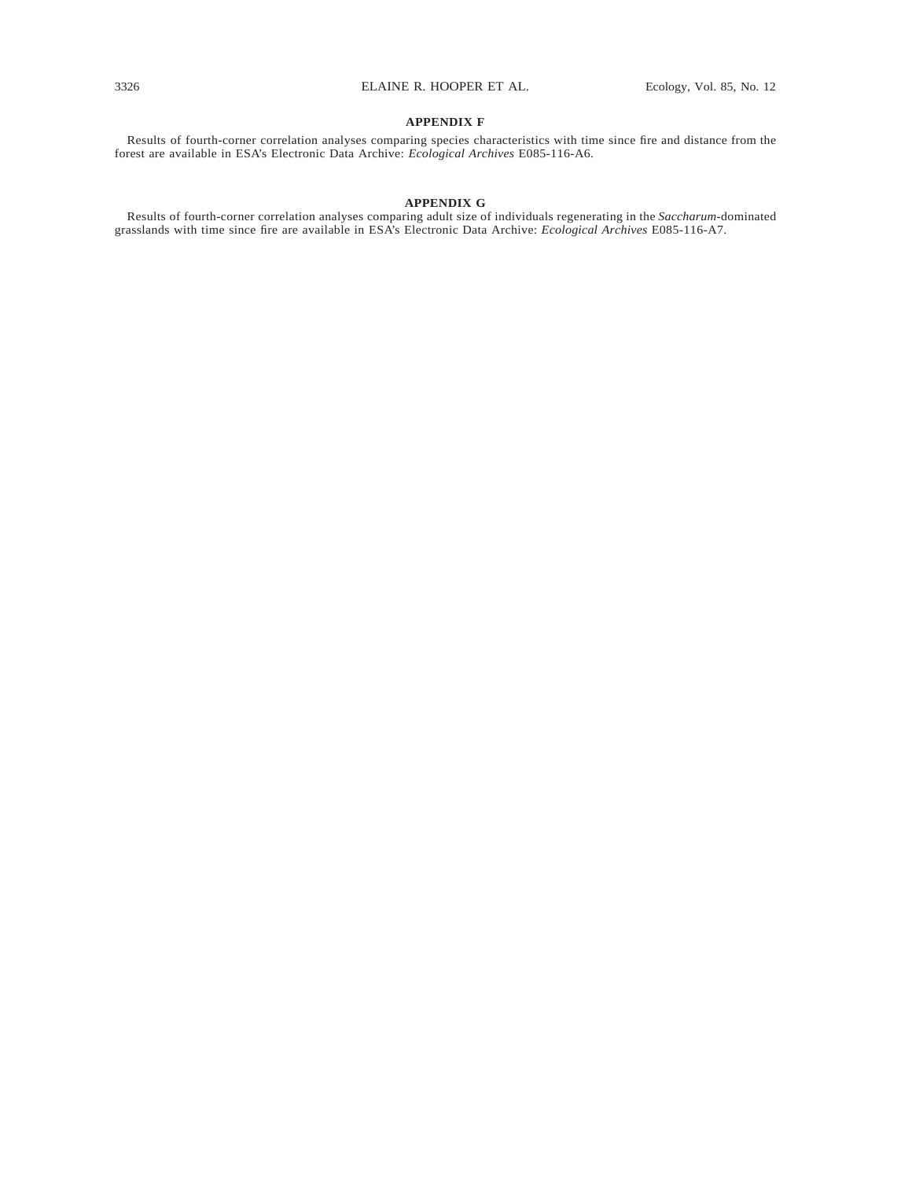### **APPENDIX F**

Results of fourth-corner correlation analyses comparing species characteristics with time since fire and distance from the forest are available in ESA's Electronic Data Archive: *Ecological Archives* E085-116-A6.

### **APPENDIX G**

Results of fourth-corner correlation analyses comparing adult size of individuals regenerating in the *Saccharum*-dominated grasslands with time since fire are available in ESA's Electronic Data Archive: *Ecological Archives* E085-116-A7.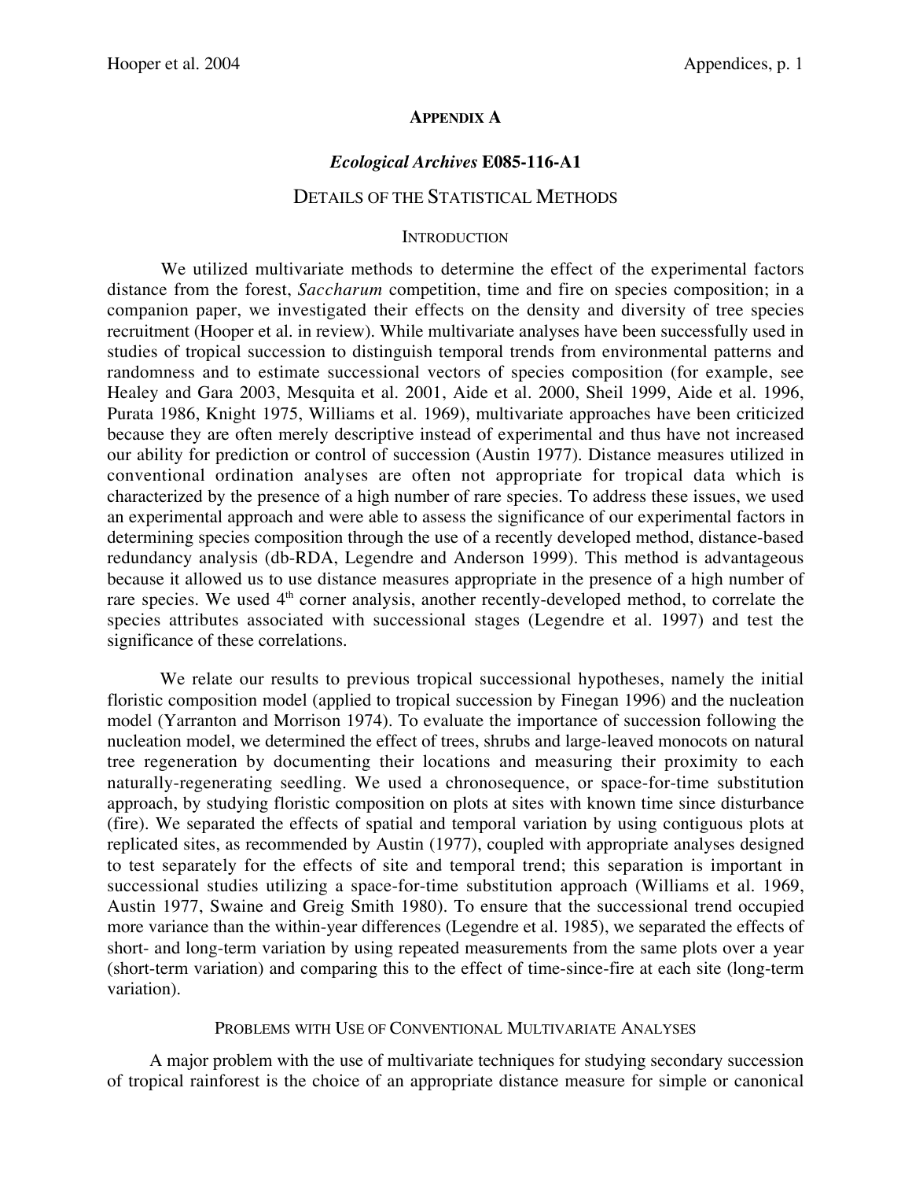### **APPENDIX A**

### *Ecological Archives* **E085-116-A1**

## DETAILS OF THE STATISTICAL METHODS

### **INTRODUCTION**

We utilized multivariate methods to determine the effect of the experimental factors distance from the forest, *Saccharum* competition, time and fire on species composition; in a companion paper, we investigated their effects on the density and diversity of tree species recruitment (Hooper et al. in review). While multivariate analyses have been successfully used in studies of tropical succession to distinguish temporal trends from environmental patterns and randomness and to estimate successional vectors of species composition (for example, see Healey and Gara 2003, Mesquita et al. 2001, Aide et al. 2000, Sheil 1999, Aide et al. 1996, Purata 1986, Knight 1975, Williams et al. 1969), multivariate approaches have been criticized because they are often merely descriptive instead of experimental and thus have not increased our ability for prediction or control of succession (Austin 1977). Distance measures utilized in conventional ordination analyses are often not appropriate for tropical data which is characterized by the presence of a high number of rare species. To address these issues, we used an experimental approach and were able to assess the significance of our experimental factors in determining species composition through the use of a recently developed method, distance-based redundancy analysis (db-RDA, Legendre and Anderson 1999). This method is advantageous because it allowed us to use distance measures appropriate in the presence of a high number of rare species. We used 4<sup>th</sup> corner analysis, another recently-developed method, to correlate the species attributes associated with successional stages (Legendre et al. 1997) and test the significance of these correlations.

We relate our results to previous tropical successional hypotheses, namely the initial floristic composition model (applied to tropical succession by Finegan 1996) and the nucleation model (Yarranton and Morrison 1974). To evaluate the importance of succession following the nucleation model, we determined the effect of trees, shrubs and large-leaved monocots on natural tree regeneration by documenting their locations and measuring their proximity to each naturally-regenerating seedling. We used a chronosequence, or space-for-time substitution approach, by studying floristic composition on plots at sites with known time since disturbance (fire). We separated the effects of spatial and temporal variation by using contiguous plots at replicated sites, as recommended by Austin (1977), coupled with appropriate analyses designed to test separately for the effects of site and temporal trend; this separation is important in successional studies utilizing a space-for-time substitution approach (Williams et al. 1969, Austin 1977, Swaine and Greig Smith 1980). To ensure that the successional trend occupied more variance than the within-year differences (Legendre et al. 1985), we separated the effects of short- and long-term variation by using repeated measurements from the same plots over a year (short-term variation) and comparing this to the effect of time-since-fire at each site (long-term variation).

### PROBLEMS WITH USE OF CONVENTIONAL MULTIVARIATE ANALYSES

A major problem with the use of multivariate techniques for studying secondary succession of tropical rainforest is the choice of an appropriate distance measure for simple or canonical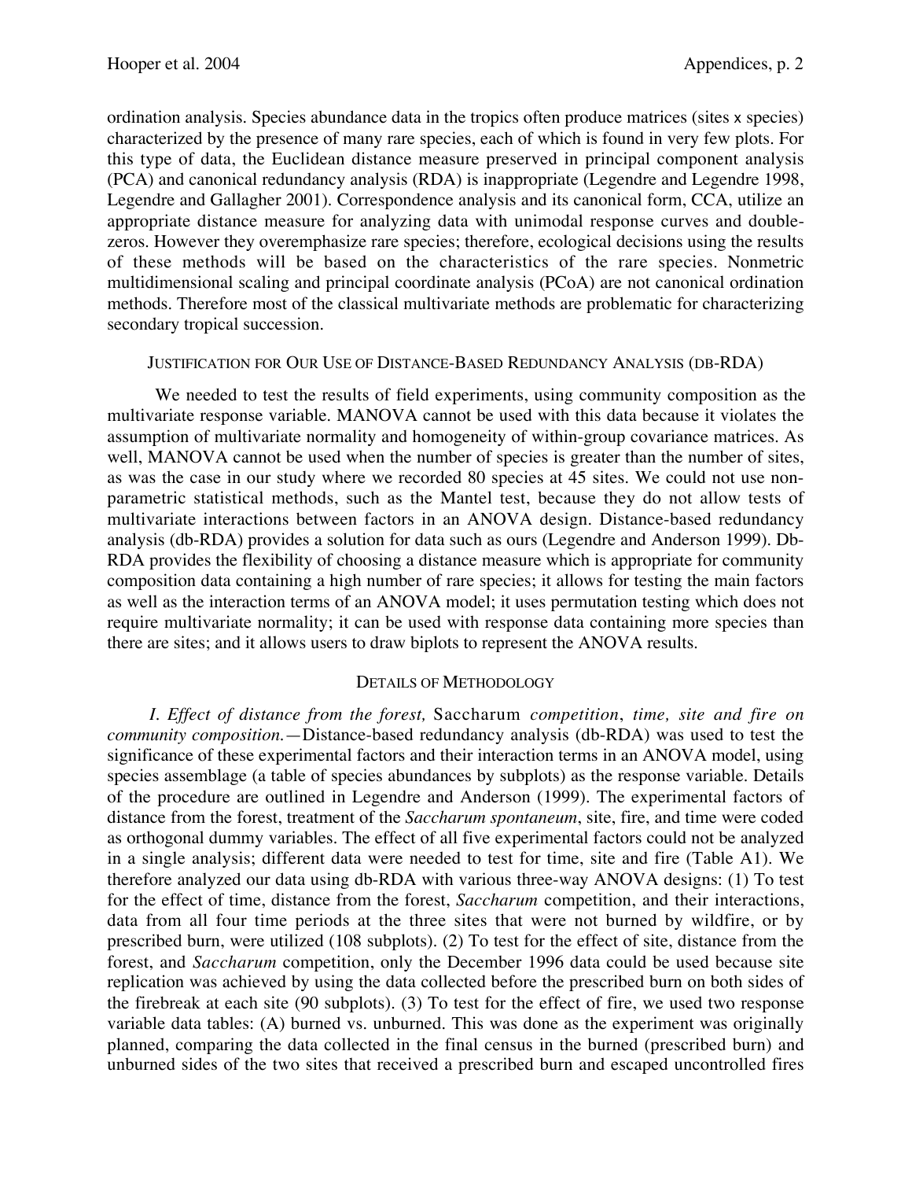ordination analysis. Species abundance data in the tropics often produce matrices (sites x species) characterized by the presence of many rare species, each of which is found in very few plots. For this type of data, the Euclidean distance measure preserved in principal component analysis (PCA) and canonical redundancy analysis (RDA) is inappropriate (Legendre and Legendre 1998, Legendre and Gallagher 2001). Correspondence analysis and its canonical form, CCA, utilize an appropriate distance measure for analyzing data with unimodal response curves and doublezeros. However they overemphasize rare species; therefore, ecological decisions using the results of these methods will be based on the characteristics of the rare species. Nonmetric multidimensional scaling and principal coordinate analysis (PCoA) are not canonical ordination methods. Therefore most of the classical multivariate methods are problematic for characterizing secondary tropical succession.

### JUSTIFICATION FOR OUR USE OF DISTANCE-BASED REDUNDANCY ANALYSIS (DB-RDA)

We needed to test the results of field experiments, using community composition as the multivariate response variable. MANOVA cannot be used with this data because it violates the assumption of multivariate normality and homogeneity of within-group covariance matrices. As well, MANOVA cannot be used when the number of species is greater than the number of sites, as was the case in our study where we recorded 80 species at 45 sites. We could not use nonparametric statistical methods, such as the Mantel test, because they do not allow tests of multivariate interactions between factors in an ANOVA design. Distance-based redundancy analysis (db-RDA) provides a solution for data such as ours (Legendre and Anderson 1999). Db-RDA provides the flexibility of choosing a distance measure which is appropriate for community composition data containing a high number of rare species; it allows for testing the main factors as well as the interaction terms of an ANOVA model; it uses permutation testing which does not require multivariate normality; it can be used with response data containing more species than there are sites; and it allows users to draw biplots to represent the ANOVA results.

## DETAILS OF METHODOLOGY

*I. Effect of distance from the forest,* Saccharum *competition*, *time, site and fire on community composition*.—Distance-based redundancy analysis (db-RDA) was used to test the significance of these experimental factors and their interaction terms in an ANOVA model, using species assemblage (a table of species abundances by subplots) as the response variable. Details of the procedure are outlined in Legendre and Anderson (1999). The experimental factors of distance from the forest, treatment of the *Saccharum spontaneum*, site, fire, and time were coded as orthogonal dummy variables. The effect of all five experimental factors could not be analyzed in a single analysis; different data were needed to test for time, site and fire (Table A1). We therefore analyzed our data using db-RDA with various three-way ANOVA designs: (1) To test for the effect of time, distance from the forest, *Saccharum* competition, and their interactions, data from all four time periods at the three sites that were not burned by wildfire, or by prescribed burn, were utilized (108 subplots). (2) To test for the effect of site, distance from the forest, and *Saccharum* competition, only the December 1996 data could be used because site replication was achieved by using the data collected before the prescribed burn on both sides of the firebreak at each site (90 subplots). (3) To test for the effect of fire, we used two response variable data tables: (A) burned vs. unburned. This was done as the experiment was originally planned, comparing the data collected in the final census in the burned (prescribed burn) and unburned sides of the two sites that received a prescribed burn and escaped uncontrolled fires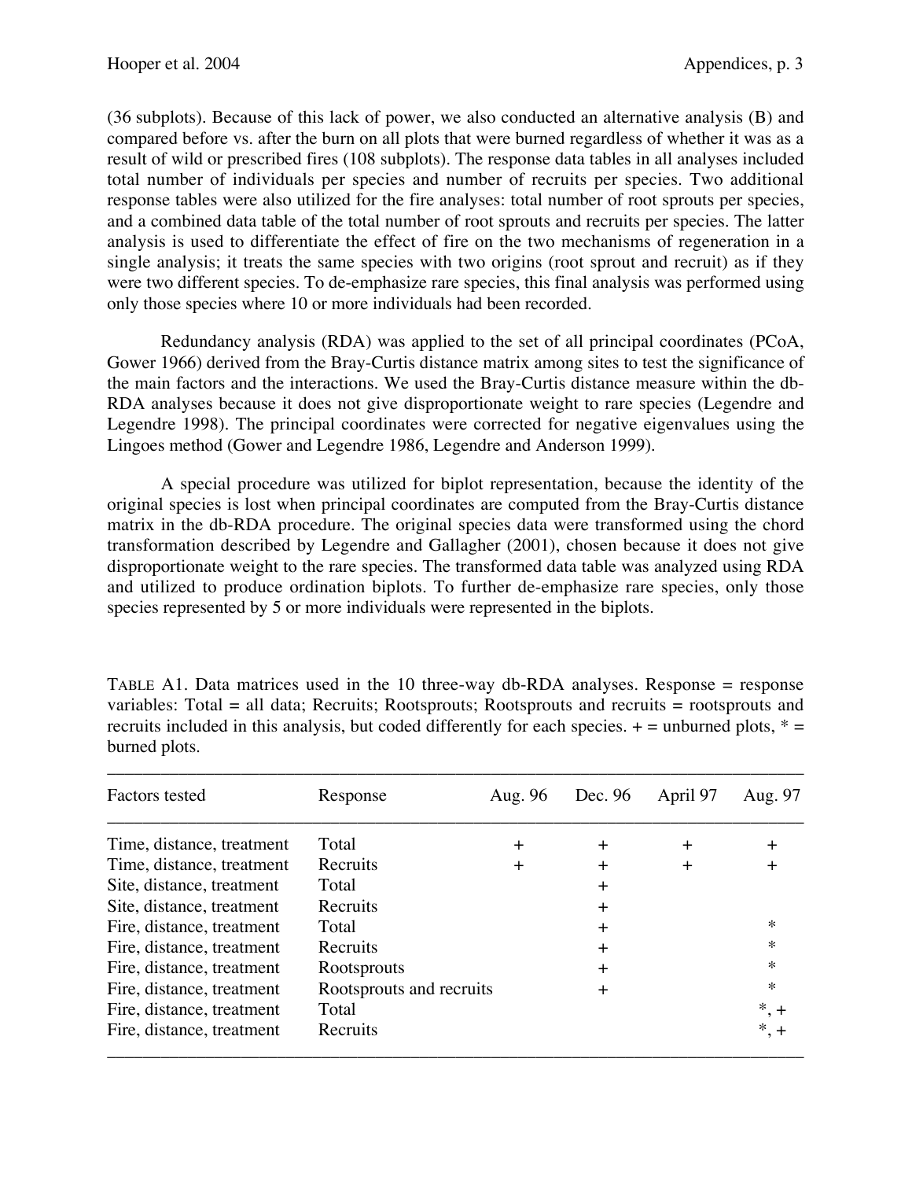(36 subplots). Because of this lack of power, we also conducted an alternative analysis (B) and compared before vs. after the burn on all plots that were burned regardless of whether it was as a result of wild or prescribed fires (108 subplots). The response data tables in all analyses included total number of individuals per species and number of recruits per species. Two additional response tables were also utilized for the fire analyses: total number of root sprouts per species, and a combined data table of the total number of root sprouts and recruits per species. The latter analysis is used to differentiate the effect of fire on the two mechanisms of regeneration in a single analysis; it treats the same species with two origins (root sprout and recruit) as if they were two different species. To de-emphasize rare species, this final analysis was performed using only those species where 10 or more individuals had been recorded.

Redundancy analysis (RDA) was applied to the set of all principal coordinates (PCoA, Gower 1966) derived from the Bray-Curtis distance matrix among sites to test the significance of the main factors and the interactions. We used the Bray-Curtis distance measure within the db-RDA analyses because it does not give disproportionate weight to rare species (Legendre and Legendre 1998). The principal coordinates were corrected for negative eigenvalues using the Lingoes method (Gower and Legendre 1986, Legendre and Anderson 1999).

A special procedure was utilized for biplot representation, because the identity of the original species is lost when principal coordinates are computed from the Bray-Curtis distance matrix in the db-RDA procedure. The original species data were transformed using the chord transformation described by Legendre and Gallagher (2001), chosen because it does not give disproportionate weight to the rare species. The transformed data table was analyzed using RDA and utilized to produce ordination biplots. To further de-emphasize rare species, only those species represented by 5 or more individuals were represented in the biplots.

| TABLE A1. Data matrices used in the 10 three-way db-RDA analyses. Response $=$ response                 |
|---------------------------------------------------------------------------------------------------------|
| variables: Total = all data; Recruits; Rootsprouts; Rootsprouts and recruits = rootsprouts and          |
| recruits included in this analysis, but coded differently for each species. $+$ = unburned plots, $*$ = |
| burned plots.                                                                                           |

\_\_\_\_\_\_\_\_\_\_\_\_\_\_\_\_\_\_\_\_\_\_\_\_\_\_\_\_\_\_\_\_\_\_\_\_\_\_\_\_\_\_\_\_\_\_\_\_\_\_\_\_\_\_\_\_\_\_\_\_\_\_\_\_\_\_\_\_\_\_\_\_\_\_\_\_\_\_

| <b>Factors</b> tested     | Response                 | Aug. 96 | Dec. 96 | April 97 | Aug. 97 |
|---------------------------|--------------------------|---------|---------|----------|---------|
| Time, distance, treatment | Total                    | $^{+}$  | $+$     | $^{+}$   | $\pm$   |
| Time, distance, treatment | Recruits                 | $^{+}$  | $^{+}$  | $^{+}$   | $\pm$   |
| Site, distance, treatment | Total                    |         | $+$     |          |         |
| Site, distance, treatment | Recruits                 |         | $^{+}$  |          |         |
| Fire, distance, treatment | Total                    |         | $^{+}$  |          | $\ast$  |
| Fire, distance, treatment | Recruits                 |         | $^{+}$  |          | $\ast$  |
| Fire, distance, treatment | Rootsprouts              |         | $^{+}$  |          | ∗       |
| Fire, distance, treatment | Rootsprouts and recruits |         | $^{+}$  |          | $\ast$  |
| Fire, distance, treatment | Total                    |         |         |          | $^*,+$  |
| Fire, distance, treatment | Recruits                 |         |         |          | $^*$ ,  |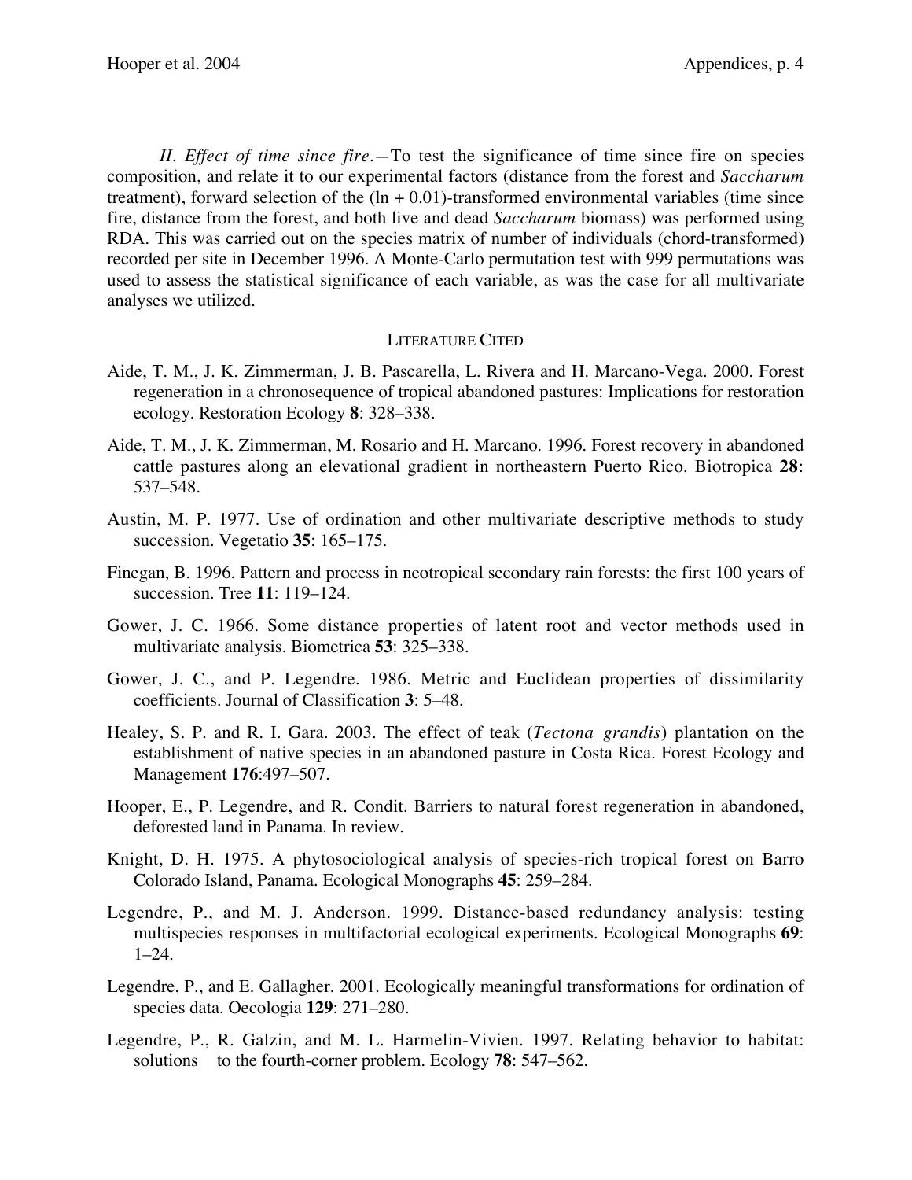*II. Effect of time since fire.—*To test the significance of time since fire on species composition, and relate it to our experimental factors (distance from the forest and *Saccharum* treatment), forward selection of the  $(ln + 0.01)$ -transformed environmental variables (time since fire, distance from the forest, and both live and dead *Saccharum* biomass) was performed using RDA. This was carried out on the species matrix of number of individuals (chord-transformed) recorded per site in December 1996. A Monte-Carlo permutation test with 999 permutations was used to assess the statistical significance of each variable, as was the case for all multivariate analyses we utilized.

## LITERATURE CITED

- Aide, T. M., J. K. Zimmerman, J. B. Pascarella, L. Rivera and H. Marcano-Vega. 2000. Forest regeneration in a chronosequence of tropical abandoned pastures: Implications for restoration ecology. Restoration Ecology **8**: 328–338.
- Aide, T. M., J. K. Zimmerman, M. Rosario and H. Marcano. 1996. Forest recovery in abandoned cattle pastures along an elevational gradient in northeastern Puerto Rico. Biotropica **28**: 537–548.
- Austin, M. P. 1977. Use of ordination and other multivariate descriptive methods to study succession. Vegetatio **35**: 165–175.
- Finegan, B. 1996. Pattern and process in neotropical secondary rain forests: the first 100 years of succession. Tree **11**: 119–124.
- Gower, J. C. 1966. Some distance properties of latent root and vector methods used in multivariate analysis. Biometrica **53**: 325–338.
- Gower, J. C., and P. Legendre. 1986. Metric and Euclidean properties of dissimilarity coefficients. Journal of Classification **3**: 5–48.
- Healey, S. P. and R. I. Gara. 2003. The effect of teak (*Tectona grandis*) plantation on the establishment of native species in an abandoned pasture in Costa Rica. Forest Ecology and Management **176**:497–507.
- Hooper, E., P. Legendre, and R. Condit. Barriers to natural forest regeneration in abandoned, deforested land in Panama. In review.
- Knight, D. H. 1975. A phytosociological analysis of species-rich tropical forest on Barro Colorado Island, Panama. Ecological Monographs **45**: 259–284.
- Legendre, P., and M. J. Anderson. 1999. Distance-based redundancy analysis: testing multispecies responses in multifactorial ecological experiments. Ecological Monographs **69**: 1–24.
- Legendre, P., and E. Gallagher. 2001. Ecologically meaningful transformations for ordination of species data. Oecologia **129**: 271–280.
- Legendre, P., R. Galzin, and M. L. Harmelin-Vivien. 1997. Relating behavior to habitat: solutions to the fourth-corner problem. Ecology **78**: 547–562.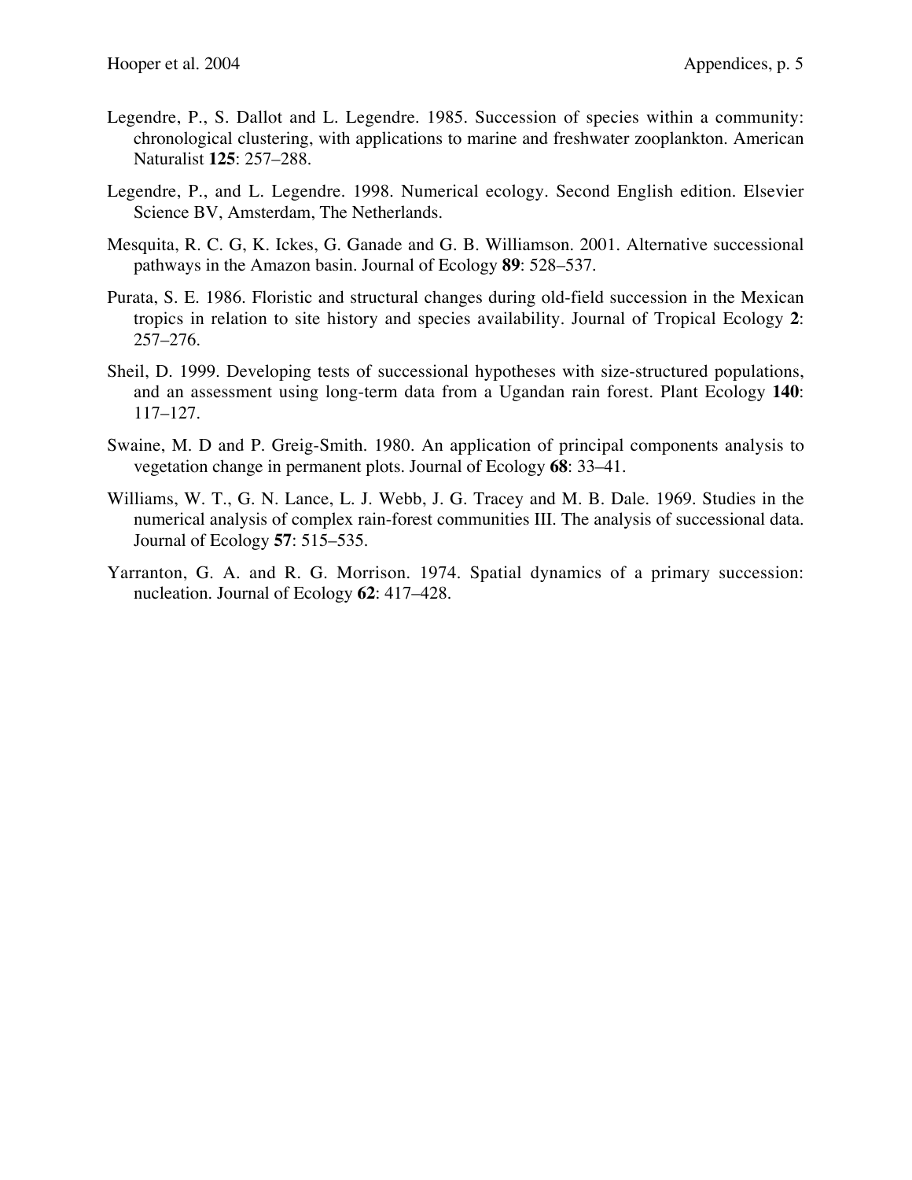- Legendre, P., S. Dallot and L. Legendre. 1985. Succession of species within a community: chronological clustering, with applications to marine and freshwater zooplankton. American Naturalist **125**: 257–288.
- Legendre, P., and L. Legendre. 1998. Numerical ecology. Second English edition. Elsevier Science BV, Amsterdam, The Netherlands.
- Mesquita, R. C. G, K. Ickes, G. Ganade and G. B. Williamson. 2001. Alternative successional pathways in the Amazon basin. Journal of Ecology **89**: 528–537.
- Purata, S. E. 1986. Floristic and structural changes during old-field succession in the Mexican tropics in relation to site history and species availability. Journal of Tropical Ecology **2**: 257–276.
- Sheil, D. 1999. Developing tests of successional hypotheses with size-structured populations, and an assessment using long-term data from a Ugandan rain forest. Plant Ecology **140**: 117–127.
- Swaine, M. D and P. Greig-Smith. 1980. An application of principal components analysis to vegetation change in permanent plots. Journal of Ecology **68**: 33–41.
- Williams, W. T., G. N. Lance, L. J. Webb, J. G. Tracey and M. B. Dale. 1969. Studies in the numerical analysis of complex rain-forest communities III. The analysis of successional data. Journal of Ecology **57**: 515–535.
- Yarranton, G. A. and R. G. Morrison. 1974. Spatial dynamics of a primary succession: nucleation. Journal of Ecology **62**: 417–428.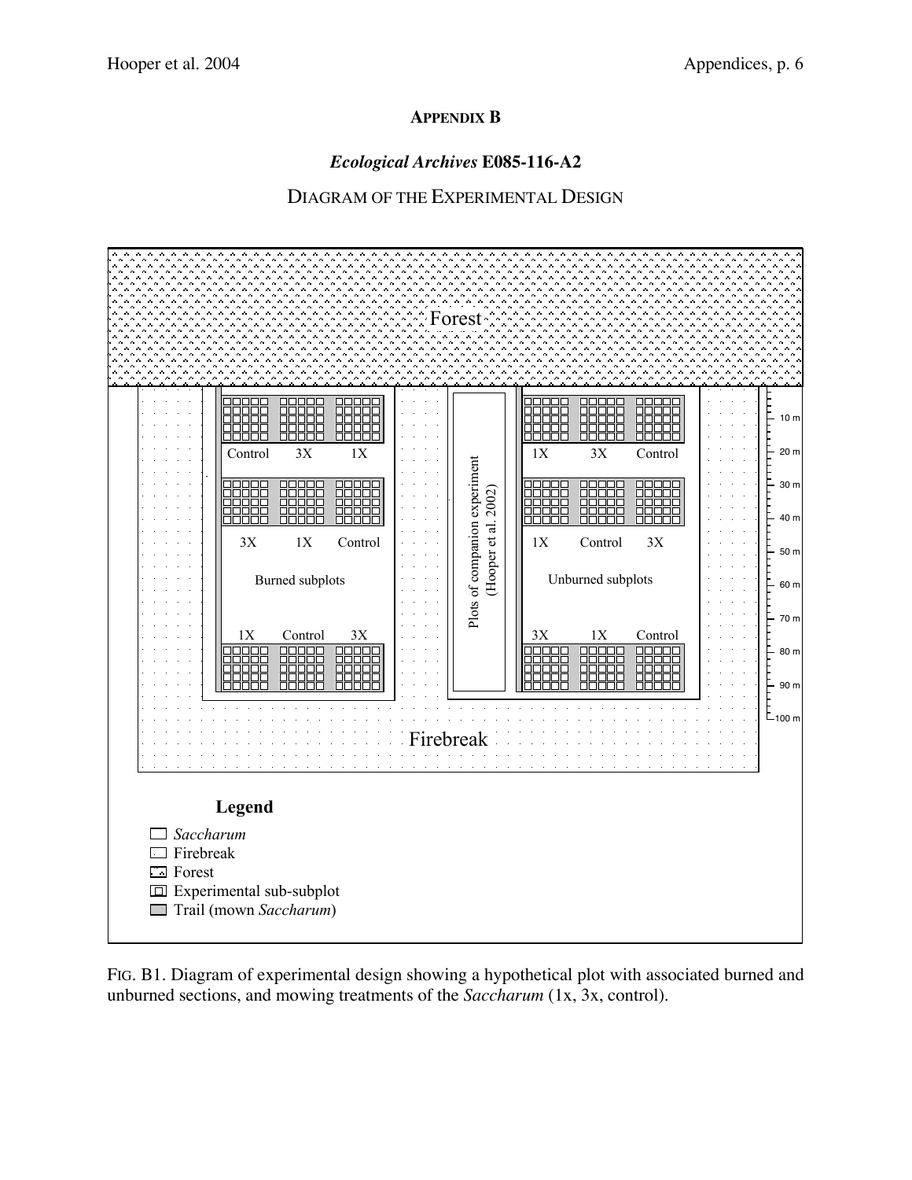## **APPENDIX B**

## *Ecological Archives* **E085-116-A2**

## DIAGRAM OF THE EXPERIMENTAL DESIGN



FIG. B1. Diagram of experimental design showing a hypothetical plot with associated burned and unburned sections, and mowing treatments of the *Saccharum* (1x, 3x, control).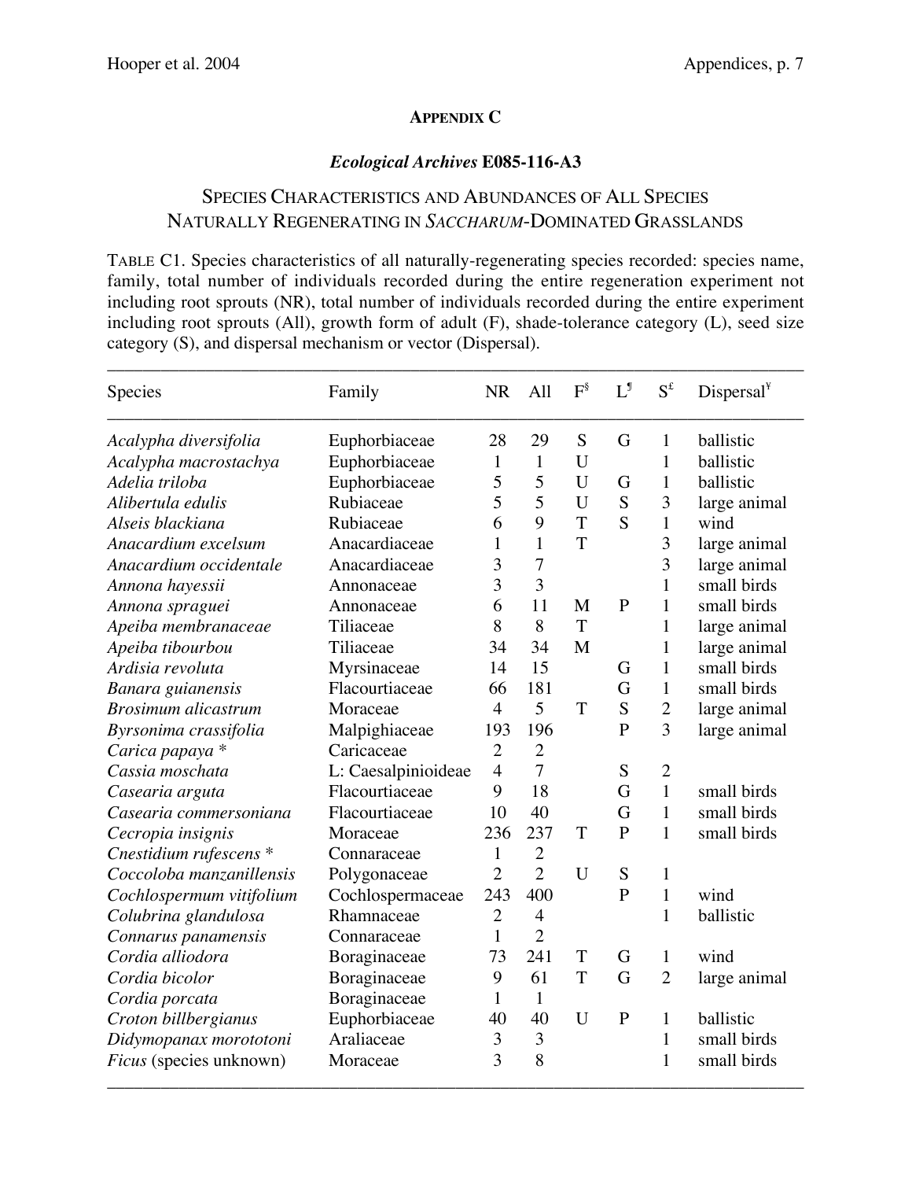## **APPENDIX C**

## *Ecological Archives* **E085-116-A3**

## SPECIES CHARACTERISTICS AND ABUNDANCES OF ALL SPECIES NATURALLY REGENERATING IN *SACCHARUM*-DOMINATED GRASSLANDS

TABLE C1. Species characteristics of all naturally-regenerating species recorded: species name, family, total number of individuals recorded during the entire regeneration experiment not including root sprouts (NR), total number of individuals recorded during the entire experiment including root sprouts (All), growth form of adult (F), shade-tolerance category (L), seed size category (S), and dispersal mechanism or vector (Dispersal).

| Species                    | Family              | <b>NR</b>      | All            | $\mathbf{F}^{\S}$ | $L^{\mathbb{I}}$ | $S^{\text{f}}$ | Dispersal <sup>Y</sup> |
|----------------------------|---------------------|----------------|----------------|-------------------|------------------|----------------|------------------------|
| Acalypha diversifolia      | Euphorbiaceae       | 28             | 29             | S                 | G                | 1              | ballistic              |
| Acalypha macrostachya      | Euphorbiaceae       | $\mathbf{1}$   | $\mathbf{1}$   | U                 |                  | $\mathbf{1}$   | ballistic              |
| Adelia triloba             | Euphorbiaceae       | 5              | 5              | U                 | G                | $\mathbf{1}$   | ballistic              |
| Alibertula edulis          | Rubiaceae           | 5              | 5              | U                 | S                | 3              | large animal           |
| Alseis blackiana           | Rubiaceae           | 6              | 9              | T                 | S                | $\mathbf{1}$   | wind                   |
| Anacardium excelsum        | Anacardiaceae       | 1              | $\mathbf{1}$   | T                 |                  | 3              | large animal           |
| Anacardium occidentale     | Anacardiaceae       | 3              | 7              |                   |                  | 3              | large animal           |
| Annona hayessii            | Annonaceae          | 3              | 3              |                   |                  | $\mathbf{1}$   | small birds            |
| Annona spraguei            | Annonaceae          | 6              | 11             | M                 | $\mathbf{P}$     | 1              | small birds            |
| Apeiba membranaceae        | Tiliaceae           | 8              | 8              | T                 |                  | $\mathbf{1}$   | large animal           |
| Apeiba tibourbou           | Tiliaceae           | 34             | 34             | M                 |                  | $\mathbf{1}$   | large animal           |
| Ardisia revoluta           | Myrsinaceae         | 14             | 15             |                   | G                | $\mathbf{1}$   | small birds            |
| Banara guianensis          | Flacourtiaceae      | 66             | 181            |                   | G                | $\mathbf{1}$   | small birds            |
| <b>Brosimum</b> alicastrum | Moraceae            | $\overline{4}$ | 5              | T                 | S                | $\overline{2}$ | large animal           |
| Byrsonima crassifolia      | Malpighiaceae       | 193            | 196            |                   | $\mathbf{P}$     | 3              | large animal           |
| Carica papaya *            | Caricaceae          | $\overline{2}$ | $\overline{2}$ |                   |                  |                |                        |
| Cassia moschata            | L: Caesalpinioideae | $\overline{4}$ | $\overline{7}$ |                   | S                | $\overline{2}$ |                        |
| Casearia arguta            | Flacourtiaceae      | 9              | 18             |                   | G                | $\mathbf{1}$   | small birds            |
| Casearia commersoniana     | Flacourtiaceae      | 10             | 40             |                   | G                | $\mathbf{1}$   | small birds            |
| Cecropia insignis          | Moraceae            | 236            | 237            | T                 | P                | $\mathbf{1}$   | small birds            |
| Cnestidium rufescens *     | Connaraceae         | $\mathbf{1}$   | $\overline{2}$ |                   |                  |                |                        |
| Coccoloba manzanillensis   | Polygonaceae        | $\overline{2}$ | $\overline{2}$ | $\mathbf{U}$      | S                | 1              |                        |
| Cochlospermum vitifolium   | Cochlospermaceae    | 243            | 400            |                   | $\mathbf{P}$     | $\mathbf{1}$   | wind                   |
| Colubrina glandulosa       | Rhamnaceae          | $\overline{2}$ | $\overline{4}$ |                   |                  | $\mathbf{1}$   | ballistic              |
| Connarus panamensis        | Connaraceae         | $\mathbf{1}$   | $\overline{2}$ |                   |                  |                |                        |
| Cordia alliodora           | Boraginaceae        | 73             | 241            | T                 | G                | $\mathbf{1}$   | wind                   |
| Cordia bicolor             | Boraginaceae        | 9              | 61             | T                 | G                | $\overline{2}$ | large animal           |
| Cordia porcata             | Boraginaceae        | 1              | $\mathbf{1}$   |                   |                  |                |                        |
| Croton billbergianus       | Euphorbiaceae       | 40             | 40             | U                 | $\mathbf{P}$     | $\mathbf{1}$   | ballistic              |
| Didymopanax morototoni     | Araliaceae          | 3              | 3              |                   |                  | $\mathbf{1}$   | small birds            |
| Ficus (species unknown)    | Moraceae            | 3              | 8              |                   |                  | $\mathbf{1}$   | small birds            |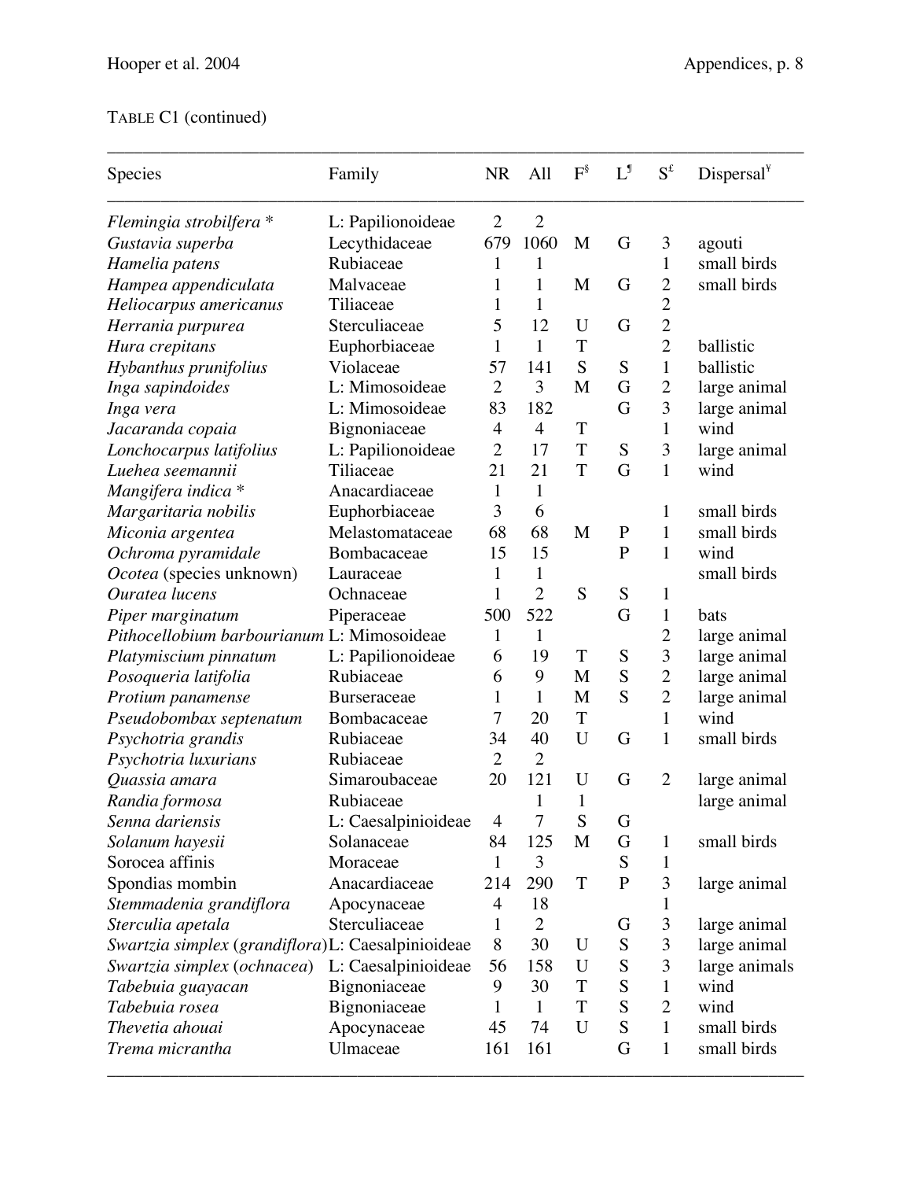# TABLE C1 (continued)

| Species                                           | Family              | <b>NR</b>      | All            | $F^{\S}$    | $L^{\mathbb{I}}$ | $S^{\text{f}}$ | Dispersal <sup>¥</sup> |
|---------------------------------------------------|---------------------|----------------|----------------|-------------|------------------|----------------|------------------------|
| Flemingia strobilfera *                           | L: Papilionoideae   | $\overline{2}$ | $\overline{2}$ |             |                  |                |                        |
| Gustavia superba                                  | Lecythidaceae       | 679            | 1060           | M           | G                | 3              | agouti                 |
| Hamelia patens                                    | Rubiaceae           | 1              | $\mathbf{1}$   |             |                  | 1              | small birds            |
| Hampea appendiculata                              | Malvaceae           | 1              | $\mathbf{1}$   | M           | G                | $\overline{2}$ | small birds            |
| Heliocarpus americanus                            | Tiliaceae           | 1              | 1              |             |                  | $\overline{c}$ |                        |
| Herrania purpurea                                 | Sterculiaceae       | 5              | 12             | U           | G                | $\overline{2}$ |                        |
| Hura crepitans                                    | Euphorbiaceae       | 1              | $\mathbf{1}$   | T           |                  | $\overline{2}$ | ballistic              |
| Hybanthus prunifolius                             | Violaceae           | 57             | 141            | S           | S                | 1              | ballistic              |
| Inga sapindoides                                  | L: Mimosoideae      | $\overline{2}$ | 3              | M           | G                | $\overline{2}$ | large animal           |
| Inga vera                                         | L: Mimosoideae      | 83             | 182            |             | G                | 3              | large animal           |
| Jacaranda copaia                                  | Bignoniaceae        | $\overline{4}$ | 4              | T           |                  | 1              | wind                   |
| Lonchocarpus latifolius                           | L: Papilionoideae   | $\overline{2}$ | 17             | T           | S                | 3              | large animal           |
| Luehea seemannii                                  | Tiliaceae           | 21             | 21             | T           | G                | $\mathbf{1}$   | wind                   |
| Mangifera indica *                                | Anacardiaceae       | 1              | 1              |             |                  |                |                        |
| Margaritaria nobilis                              | Euphorbiaceae       | 3              | 6              |             |                  | 1              | small birds            |
| Miconia argentea                                  | Melastomataceae     | 68             | 68             | M           | $\mathbf{P}$     | $\mathbf{1}$   | small birds            |
| Ochroma pyramidale                                | Bombacaceae         | 15             | 15             |             | $\mathbf{P}$     | $\mathbf{1}$   | wind                   |
| Ocotea (species unknown)                          | Lauraceae           | 1              | $\mathbf{1}$   |             |                  |                | small birds            |
| Ouratea lucens                                    | Ochnaceae           | $\mathbf{1}$   | $\overline{2}$ | S           | S                | 1              |                        |
| Piper marginatum                                  | Piperaceae          | 500            | 522            |             | G                | 1              | bats                   |
| Pithocellobium barbourianum L: Mimosoideae        |                     | 1              | $\mathbf{1}$   |             |                  | $\overline{2}$ | large animal           |
| Platymiscium pinnatum                             | L: Papilionoideae   | 6              | 19             | T           | S                | 3              | large animal           |
| Posoqueria latifolia                              | Rubiaceae           | 6              | 9              | M           | S                | $\overline{2}$ | large animal           |
| Protium panamense                                 | <b>Burseraceae</b>  | 1              | 1              | M           | S                | $\overline{2}$ | large animal           |
| Pseudobombax septenatum                           | Bombacaceae         | 7              | 20             | T           |                  | $\mathbf{1}$   | wind                   |
| Psychotria grandis                                | Rubiaceae           | 34             | 40             | U           | G                | 1              | small birds            |
| Psychotria luxurians                              | Rubiaceae           | $\overline{2}$ | $\overline{2}$ |             |                  |                |                        |
| Quassia amara                                     | Simaroubaceae       | 20             | 121            | U           | G                | $\overline{2}$ | large animal           |
| Randia formosa                                    | Rubiaceae           |                | 1              | 1           |                  |                | large animal           |
| Senna dariensis                                   | L: Caesalpinioideae | 4              | 7              | S           | G                |                |                        |
| Solanum hayesii                                   | Solanaceae          | 84             | 125            | M           | G                | 1              | small birds            |
| Sorocea affinis                                   | Moraceae            | 1              | 3              |             | S                | 1              |                        |
| Spondias mombin                                   | Anacardiaceae       | 214            | 290            | T           | $\overline{P}$   | $\mathfrak{Z}$ | large animal           |
| Stemmadenia grandiflora                           | Apocynaceae         | $\overline{4}$ | 18             |             |                  | 1              |                        |
| Sterculia apetala                                 | Sterculiaceae       | $\mathbf{1}$   | $\overline{2}$ |             | G                | $\mathfrak{Z}$ | large animal           |
| Swartzia simplex (grandiflora)L: Caesalpinioideae |                     | 8              | 30             | U           | S                | 3              | large animal           |
| Swartzia simplex (ochnacea)                       | L: Caesalpinioideae | 56             | 158            | U           | S                | 3              | large animals          |
| Tabebuia guayacan                                 | Bignoniaceae        | 9              | 30             | $\mathbf T$ | S                | $\mathbf{1}$   | wind                   |
| Tabebuia rosea                                    | Bignoniaceae        | 1              | $\mathbf{1}$   | T           | S                | $\overline{2}$ | wind                   |
| Thevetia ahouai                                   | Apocynaceae         | 45             | 74             | U           | S                | $\mathbf{1}$   | small birds            |
| Trema micrantha                                   | Ulmaceae            | 161            | 161            |             | G                | $\mathbf{1}$   | small birds            |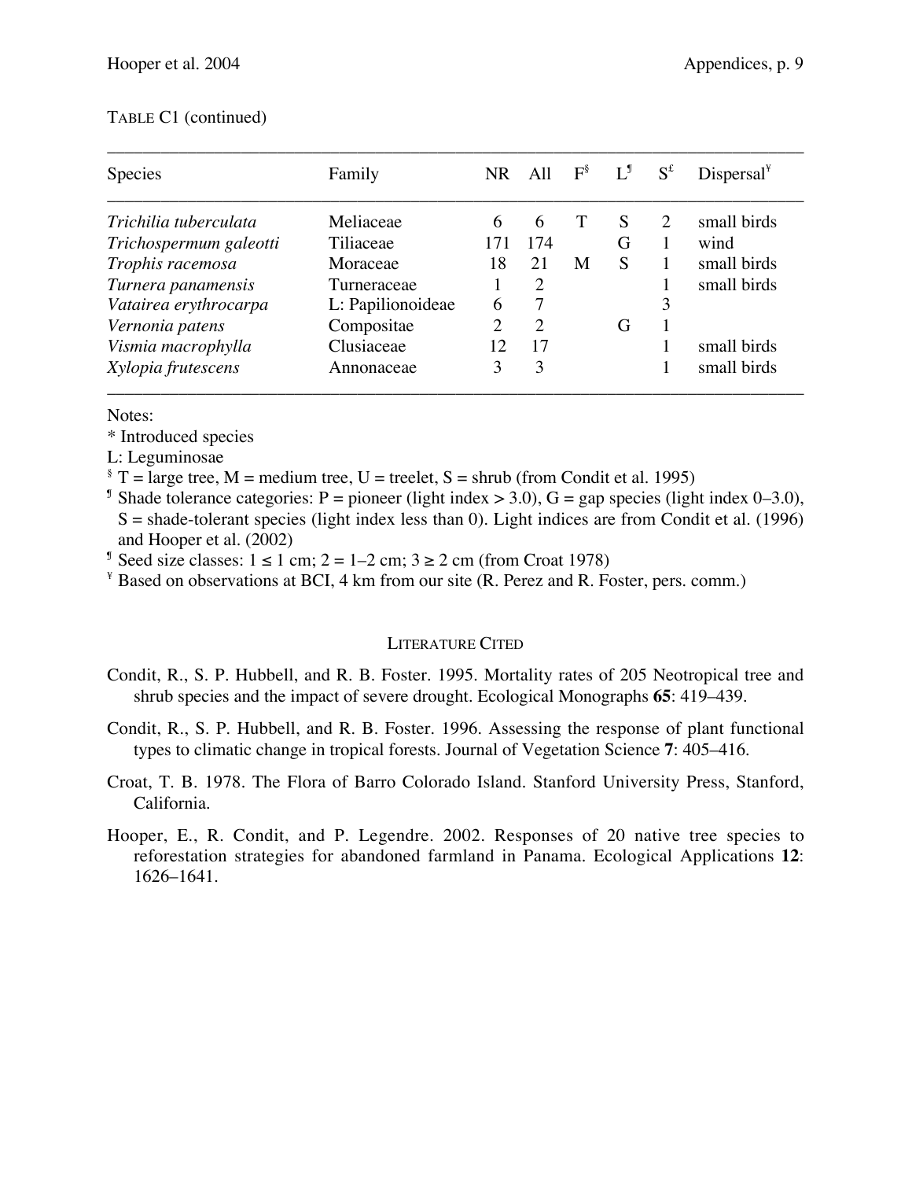| <b>Species</b>         | Family            | NR  | All            | $\mathbf{F}^{\$}$ | $\Gamma_{\rm a}$ | $S^{\text{f}}$ | $Dispersal*$ |
|------------------------|-------------------|-----|----------------|-------------------|------------------|----------------|--------------|
| Trichilia tuberculata  | Meliaceae         | 6   | 6              | T                 | S                | 2              | small birds  |
| Trichospermum galeotti | Tiliaceae         | 171 | 174            |                   | G                |                | wind         |
| Trophis racemosa       | Moraceae          | 18  | 21             | M                 | S                |                | small birds  |
| Turnera panamensis     | Turneraceae       |     | $\overline{2}$ |                   |                  |                | small birds  |
| Vatairea erythrocarpa  | L: Papilionoideae | 6   | 7              |                   |                  | 3              |              |
| Vernonia patens        | Compositae        | 2   | $\overline{2}$ |                   | G                |                |              |
| Vismia macrophylla     | Clusiaceae        | 12  | 17             |                   |                  |                | small birds  |
| Xylopia frutescens     | Annonaceae        | 3   | 3              |                   |                  |                | small birds  |

### TABLE C1 (continued)

### Notes:

- \* Introduced species
- L: Leguminosae

 $\gamma$ <sup>§</sup> T = large tree, M = medium tree, U = treelet, S = shrub (from Condit et al. 1995)

<sup>9</sup> Shade tolerance categories: P = pioneer (light index > 3.0), G = gap species (light index 0–3.0),  $S =$  shade-tolerant species (light index less than 0). Light indices are from Condit et al. (1996) and Hooper et al. (2002)

<sup>9</sup> Seed size classes:  $1 \le 1$  cm;  $2 = 1-2$  cm;  $3 \ge 2$  cm (from Croat 1978)

¥ Based on observations at BCI, 4 km from our site (R. Perez and R. Foster, pers. comm.)

## LITERATURE CITED

- Condit, R., S. P. Hubbell, and R. B. Foster. 1995. Mortality rates of 205 Neotropical tree and shrub species and the impact of severe drought. Ecological Monographs **65**: 419–439.
- Condit, R., S. P. Hubbell, and R. B. Foster. 1996. Assessing the response of plant functional types to climatic change in tropical forests. Journal of Vegetation Science **7**: 405–416.
- Croat, T. B. 1978. The Flora of Barro Colorado Island. Stanford University Press, Stanford, California.
- Hooper, E., R. Condit, and P. Legendre. 2002. Responses of 20 native tree species to reforestation strategies for abandoned farmland in Panama. Ecological Applications **12**: 1626–1641.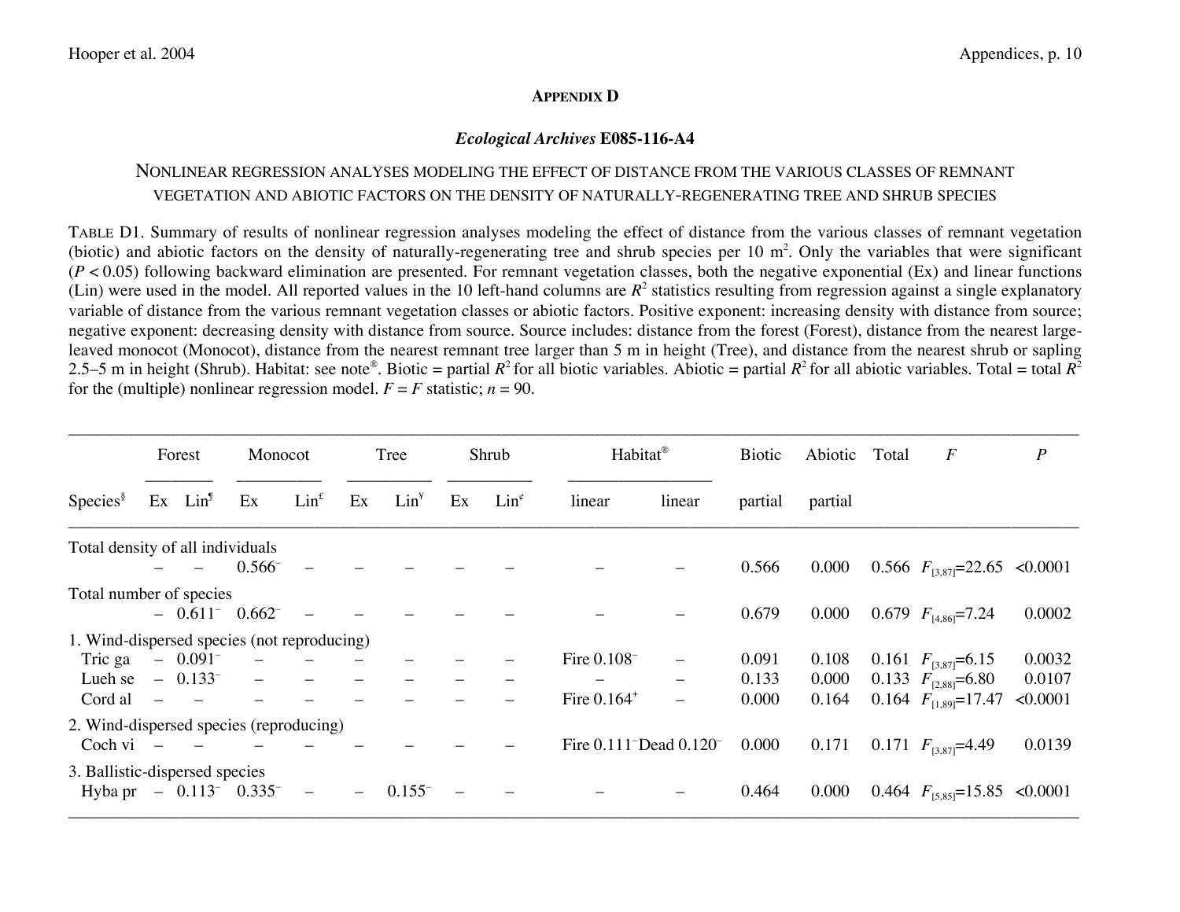### **APPENDIX D**

## *Ecological Archives* **E085-116-A4**

## NONLINEAR REGRESSION ANALYSES MODELING THE EFFECT OF DISTANCE FROM THE VARIOUS CLASSES OF REMNANT VEGETATION AND ABIOTIC FACTORS ON THE DENSITY OF NATURALLY-REGENERATING TREE AND SHRUB SPECIES

TABLE D1. Summary of results of nonlinear regression analyses modeling the effect of distance from the various classes of remnant vegetation (biotic) and abiotic factors on the density of naturally-regenerating tree and shrub species per 10  $m^2$ . Only the variables that were significant  $(P < 0.05)$  following backward elimination are presented. For remnant vegetation classes, both the negative exponential (Ex) and linear functions (Lin) were used in the model. All reported values in the 10 left-hand columns are  $R^2$  statistics resulting from regression against a single explanatory variable of distance from the various remnant vegetation classes or abiotic factors. Positive exponent: increasing density with distance from source; negative exponent: decreasing density with distance from source. Source includes: distance from the forest (Forest), distance from the nearest largeleaved monocot (Monocot), distance from the nearest remnant tree larger than 5 m in height (Tree), and distance from the nearest shrub or sapling 2.5–5 m in height (Shrub). Habitat: see note®. Biotic = partial  $R^2$  for all biotic variables. Abiotic = partial  $R^2$  for all abiotic variables. Total = total  $R^2$ for the (multiple) nonlinear regression model.  $F = F$  statistic;  $n = 90$ .

|                                             | Forest                | Monocot                                   |                          |          | Tree                |    | Shrub        | Habitat <sup>®</sup>                            |                          | Biotic  | Abiotic Total | $\boldsymbol{F}$                   | $\boldsymbol{P}$ |
|---------------------------------------------|-----------------------|-------------------------------------------|--------------------------|----------|---------------------|----|--------------|-------------------------------------------------|--------------------------|---------|---------------|------------------------------------|------------------|
| Species <sup>§</sup>                        | $Ex$ $Lin9$           | Ex                                        | $Lin^{\text{f}}$         | Ex       | $Lin^{\mathcal{Y}}$ | Ex | $Lin^{\phi}$ | linear                                          | linear                   | partial | partial       |                                    |                  |
| Total density of all individuals            |                       |                                           |                          |          |                     |    |              |                                                 |                          |         |               |                                    |                  |
|                                             |                       | $0.566^{-}$                               |                          |          |                     |    |              |                                                 |                          | 0.566   | 0.000         | 0.566 $F_{[3.87]} = 22.65$ <0.0001 |                  |
| Total number of species                     |                       |                                           |                          |          |                     |    |              |                                                 |                          |         |               |                                    |                  |
|                                             |                       | $-$ 0.611 <sup>-</sup> 0.662 <sup>-</sup> |                          |          |                     |    |              |                                                 |                          | 0.679   | 0.000         | 0.679 $F_{[4,86]} = 7.24$          | 0.0002           |
| 1. Wind-dispersed species (not reproducing) |                       |                                           |                          |          |                     |    |              |                                                 |                          |         |               |                                    |                  |
| Tric ga                                     | $-0.091$ <sup>-</sup> |                                           |                          |          |                     |    |              | Fire 0.108 <sup>-1</sup>                        |                          | 0.091   | 0.108         | 0.161 $F_{[3,87]} = 6.15$          | 0.0032           |
| Lueh se $- 0.133^{-}$                       |                       | $\qquad \qquad -$                         |                          |          |                     |    |              |                                                 | $\overline{\phantom{m}}$ | 0.133   | 0.000         | 0.133 $F_{[2,88]} = 6.80$          | 0.0107           |
| Cord al                                     |                       |                                           |                          |          |                     |    |              | Fire $0.164$ <sup>+</sup>                       | $\qquad \qquad -$        | 0.000   | 0.164         | 0.164 $F_{11,89}$ = 17.47          | < 0.0001         |
| 2. Wind-dispersed species (reproducing)     |                       |                                           |                          |          |                     |    |              |                                                 |                          |         |               |                                    |                  |
| Coch vi $-$                                 |                       |                                           |                          |          |                     |    |              | Fire 0.111 <sup>-</sup> Dead 0.120 <sup>-</sup> |                          | 0.000   | 0.171         | 0.171 $F_{[3,87]}$ =4.49           | 0.0139           |
| 3. Ballistic-dispersed species              |                       |                                           |                          |          |                     |    |              |                                                 |                          |         |               |                                    |                  |
|                                             |                       | Hyba pr $-0.113 - 0.335$                  | $\overline{\phantom{m}}$ | $\equiv$ | $0.155^{-}$         |    |              |                                                 | $\overline{\phantom{0}}$ | 0.464   | 0.000         | 0.464 $F_{[5,85]}$ =15.85 <0.0001  |                  |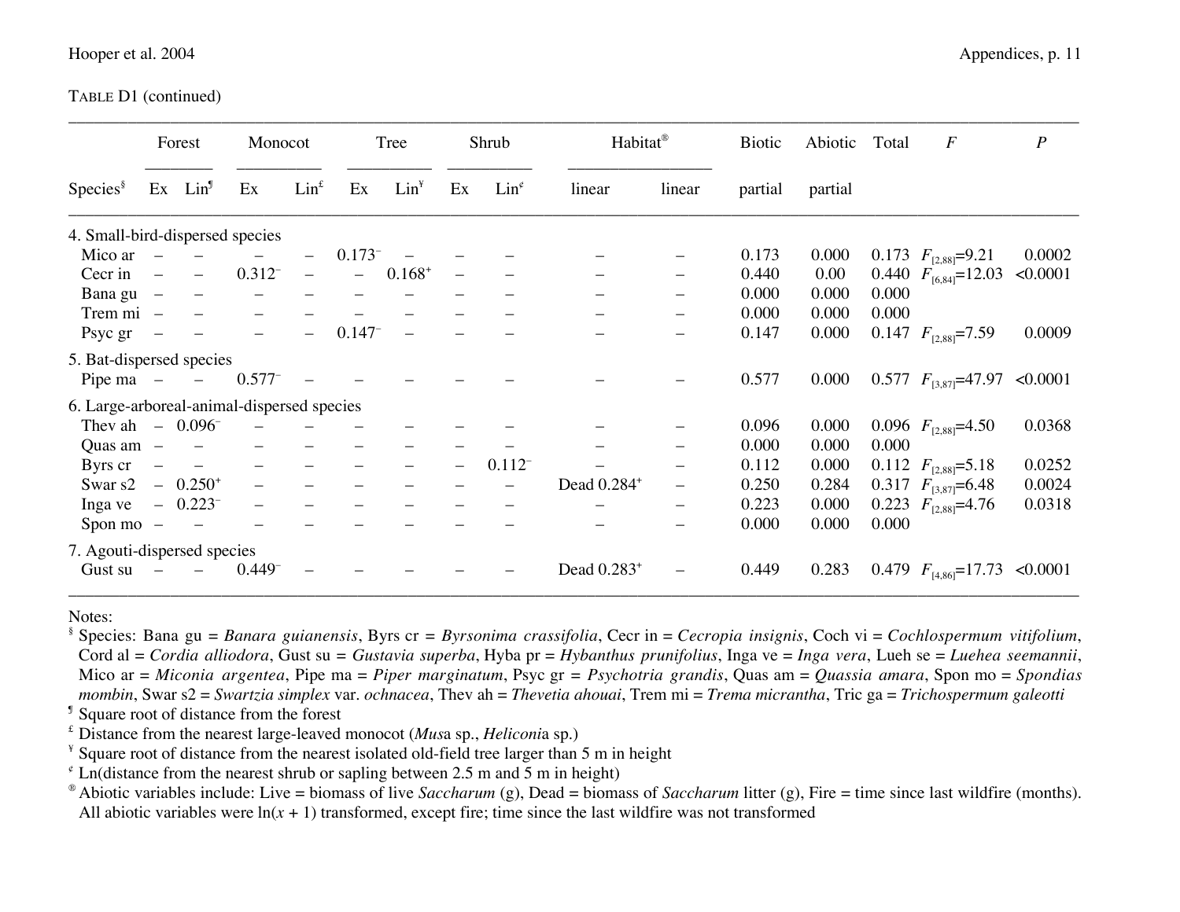### Hooper et al. 2004 Appendices, p. 11

TABLE D1 (continued)

|                                            |                          | Forest                   | Monocot                  |                          |                          | Tree             |    | Shrub         | Habitat <sup>®</sup>    |                          | Biotic  | Abiotic | Total | $\overline{F}$                     | $\boldsymbol{P}$ |
|--------------------------------------------|--------------------------|--------------------------|--------------------------|--------------------------|--------------------------|------------------|----|---------------|-------------------------|--------------------------|---------|---------|-------|------------------------------------|------------------|
| $\text{Species}^{\S}$                      |                          | $Ex$ $Lin9$              | Ex                       | Lin <sup>f</sup>         | Ex                       | Lin <sup>Y</sup> | Ex | $Lin^{\circ}$ | linear                  | linear                   | partial | partial |       |                                    |                  |
| 4. Small-bird-dispersed species            |                          |                          |                          |                          |                          |                  |    |               |                         |                          |         |         |       |                                    |                  |
| Mico ar $-$                                |                          |                          |                          | $\overline{\phantom{0}}$ | $0.173 -$                |                  |    |               |                         |                          | 0.173   | 0.000   |       | 0.173 $F_{[2,88]} = 9.21$          | 0.0002           |
| Cecr in                                    | $\sim$ $-$               | $\overline{\phantom{m}}$ | $0.312^{-}$              | $\qquad \qquad -$        | $\overline{\phantom{m}}$ | $0.168^{+}$      |    |               |                         |                          | 0.440   | 0.00    |       | 0.440 $F_{[6,84]}$ =12.03          | < 0.0001         |
| Bana gu $-$                                |                          | $\qquad \qquad -$        |                          |                          |                          |                  |    |               |                         |                          | 0.000   | 0.000   | 0.000 |                                    |                  |
| Trem $mi$ –                                |                          |                          |                          |                          |                          |                  |    |               |                         |                          | 0.000   | 0.000   | 0.000 |                                    |                  |
| Psyc gr                                    | $\overline{\phantom{0}}$ | $\qquad \qquad -$        | $\overline{\phantom{0}}$ | $\overline{\phantom{0}}$ | $0.147^{-}$              |                  |    |               |                         | $\qquad \qquad -$        | 0.147   | 0.000   |       | 0.147 $F_{[2,88]} = 7.59$          | 0.0009           |
| 5. Bat-dispersed species                   |                          |                          |                          |                          |                          |                  |    |               |                         |                          |         |         |       |                                    |                  |
| Pipe $ma -$                                |                          | $\sim$ $-$               | $0.577^{-}$              | $\sim$ $-$               |                          |                  |    |               |                         | $\overline{\phantom{0}}$ | 0.577   | 0.000   |       | 0.577 $F_{13,87}$ =47.97           | < 0.0001         |
| 6. Large-arboreal-animal-dispersed species |                          |                          |                          |                          |                          |                  |    |               |                         |                          |         |         |       |                                    |                  |
| They ah $-0.096$ <sup>-</sup>              |                          |                          |                          |                          |                          |                  |    |               |                         |                          | 0.096   | 0.000   |       | 0.096 $F_{12,881}$ = 4.50          | 0.0368           |
| Quas am $-$                                |                          | $\overline{\phantom{a}}$ | $\equiv$                 |                          |                          |                  |    |               |                         | $\qquad \qquad -$        | 0.000   | 0.000   | 0.000 |                                    |                  |
| Byrs cr                                    | $\sim$ $-$               | $\sim$                   | $\overline{\phantom{m}}$ |                          |                          |                  |    | $0.112^{-}$   |                         | $\qquad \qquad -$        | 0.112   | 0.000   |       | 0.112 $F_{[2,88]} = 5.18$          | 0.0252           |
| Swar s2 $- 0.250$ <sup>+</sup>             |                          |                          | $\equiv$                 |                          |                          |                  |    |               | Dead 0.284 <sup>+</sup> | $\qquad \qquad -$        | 0.250   | 0.284   |       | 0.317 $F_{[3,87]}=6.48$            | 0.0024           |
| Inga ve                                    |                          | $-0.223^{-}$             | $\qquad \qquad -$        |                          |                          |                  |    |               |                         | $\qquad \qquad -$        | 0.223   | 0.000   |       | 0.223 $F_{[2,88]}=4.76$            | 0.0318           |
| Spon mo $-$                                |                          |                          |                          |                          |                          |                  |    |               |                         |                          | 0.000   | 0.000   | 0.000 |                                    |                  |
| 7. Agouti-dispersed species                |                          |                          |                          |                          |                          |                  |    |               |                         |                          |         |         |       |                                    |                  |
| Gust su                                    | $\overline{\phantom{a}}$ | $\equiv$                 | $0.449^{-}$              |                          |                          |                  |    |               | Dead 0.283 <sup>+</sup> | $\qquad \qquad -$        | 0.449   | 0.283   |       | 0.479 $F_{[4,86]} = 17.73$ <0.0001 |                  |

Notes:

§ Species: Bana gu = *Banara guianensis*, Byrs cr = *Byrsonima crassifolia*, Cecr in = *Cecropia insignis*, Coch vi = *Cochlospermum vitifolium*, Cord al = *Cordia alliodora*, Gust su = *Gustavia superba*, Hyba pr = *Hybanthus prunifolius*, Inga ve = *Inga vera*, Lueh se = *Luehea seemannii*, Mico ar = *Miconia argentea*, Pipe ma = *Piper marginatum*, Psyc gr = *Psychotria grandis*, Quas am = *Quassia amara*, Spon mo = *Spondias mombin*, Swar s2 = *Swartzia simplex* var. *ochnacea*, Thev ah = *Thevetia ahouai*, Trem mi = *Trema micrantha*, Tric ga = *Trichospermum galeotti*

¶ Square root of distance from the forest

£ Distance from the nearest large-leaved monocot (*Mus*a sp., *Heliconi*a sp.)

¥ Square root of distance from the nearest isolated old-field tree larger than 5 m in height

 $\epsilon$  Ln(distance from the nearest shrub or sapling between 2.5 m and 5 m in height)

® Abiotic variables include: Live = biomass of live *Saccharum* (g), Dead = biomass of *Saccharum* litter (g), Fire = time since last wildfire (months). All abiotic variables were  $ln(x + 1)$  transformed, except fire; time since the last wildfire was not transformed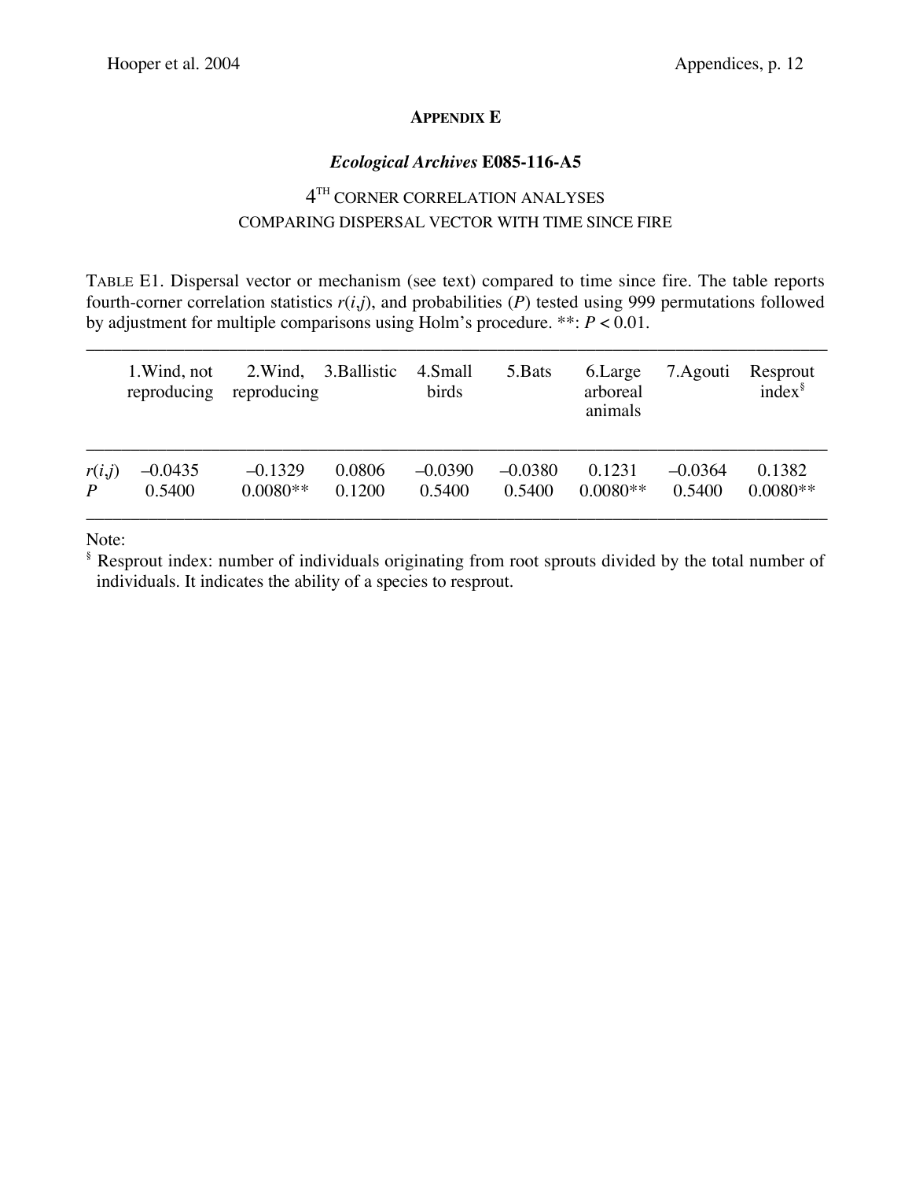## **APPENDIX E**

## *Ecological Archives* **E085-116-A5**

# $4^{\mathrm{TH}}$  CORNER CORRELATION ANALYSES COMPARING DISPERSAL VECTOR WITH TIME SINCE FIRE

TABLE E1. Dispersal vector or mechanism (see text) compared to time since fire. The table reports fourth-corner correlation statistics  $r(i,j)$ , and probabilities ( $P$ ) tested using 999 permutations followed by adjustment for multiple comparisons using Holm's procedure. \*\*:  $P < 0.01$ .

|                  | 1. Wind, not<br>reproducing | $2.$ Wind,<br>reproducing | 3. Ballistic | 4.Small<br>birds | 5. Bats   | 6. Large<br>arboreal<br>animals | 7. Agouti | Resprout<br>$index^{\S}$ |
|------------------|-----------------------------|---------------------------|--------------|------------------|-----------|---------------------------------|-----------|--------------------------|
| r(i,j)           | $-0.0435$                   | $-0.1329$                 | 0.0806       | $-0.0390$        | $-0.0380$ | 0.1231                          | $-0.0364$ | 0.1382                   |
| $\boldsymbol{P}$ | 0.5400                      | $0.0080**$                | 0.1200       | 0.5400           | 0.5400    | $0.0080**$                      | 0.5400    | $0.0080**$               |

Note:

§ Resprout index: number of individuals originating from root sprouts divided by the total number of individuals. It indicates the ability of a species to resprout.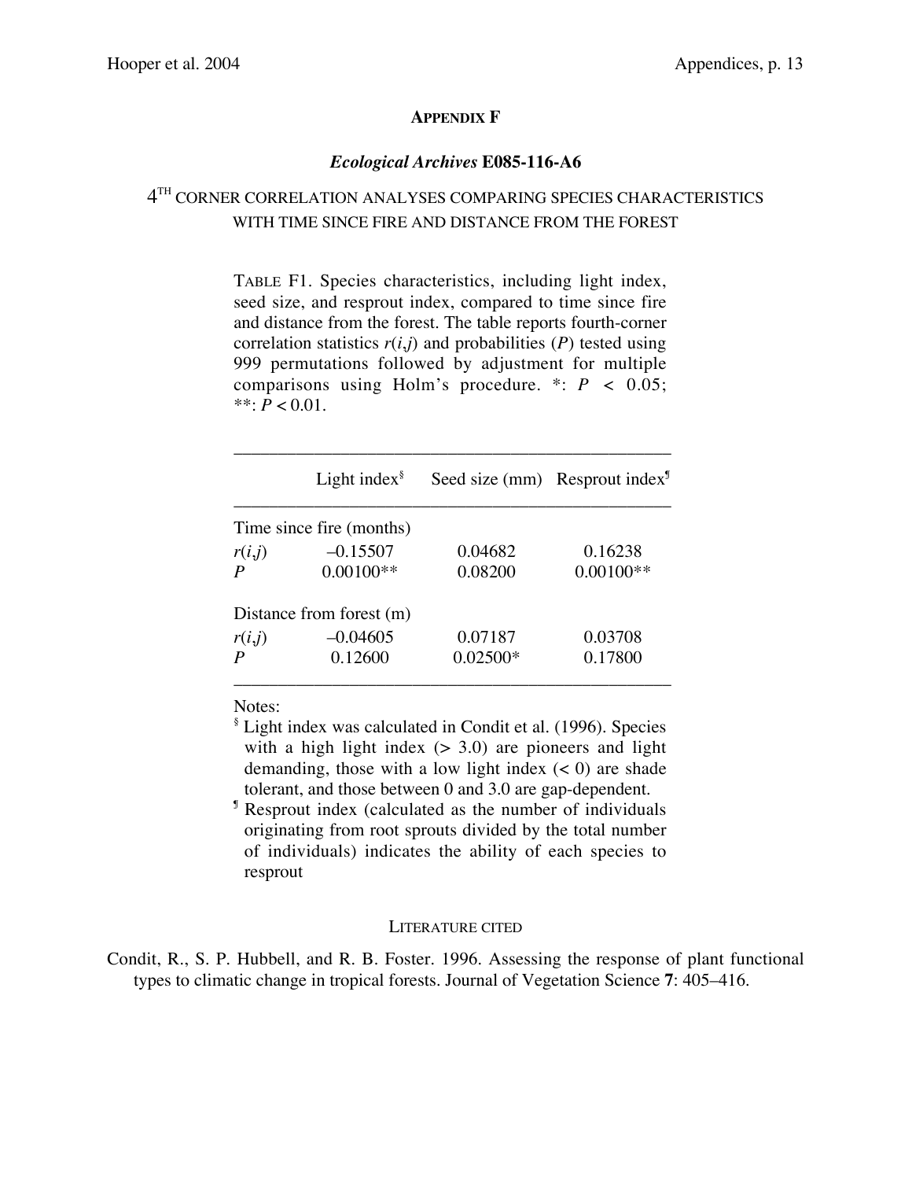### **APPENDIX F**

### *Ecological Archives* **E085-116-A6**

# $4^{\mathrm{TH}}$  CORNER CORRELATION ANALYSES COMPARING SPECIES CHARACTERISTICS WITH TIME SINCE FIRE AND DISTANCE FROM THE FOREST

TABLE F1. Species characteristics, including light index, seed size, and resprout index, compared to time since fire and distance from the forest. The table reports fourth-corner correlation statistics  $r(i,j)$  and probabilities (*P*) tested using 999 permutations followed by adjustment for multiple comparisons using Holm's procedure. \*: *P* < 0.05; \*\*:  $P < 0.01$ .

|                  | Light index $\frac{1}{2}$ |            | Seed size (mm) Resprout index <sup>y</sup> |
|------------------|---------------------------|------------|--------------------------------------------|
|                  | Time since fire (months)  |            |                                            |
| r(i,j)           | $-0.15507$                | 0.04682    | 0.16238                                    |
| $\boldsymbol{P}$ | $0.00100**$               | 0.08200    | $0.00100**$                                |
|                  | Distance from forest (m)  |            |                                            |
| r(i,j)           | $-0.04605$                | 0.07187    | 0.03708                                    |
| $\boldsymbol{P}$ | 0.12600                   | $0.02500*$ | 0.17800                                    |

Notes:

§ Light index was calculated in Condit et al. (1996). Species with a high light index  $(> 3.0)$  are pioneers and light demanding, those with a low light index  $(< 0)$  are shade tolerant, and those between 0 and 3.0 are gap-dependent.

¶ Resprout index (calculated as the number of individuals originating from root sprouts divided by the total number of individuals) indicates the ability of each species to resprout

### LITERATURE CITED

Condit, R., S. P. Hubbell, and R. B. Foster. 1996. Assessing the response of plant functional types to climatic change in tropical forests. Journal of Vegetation Science **7**: 405–416.